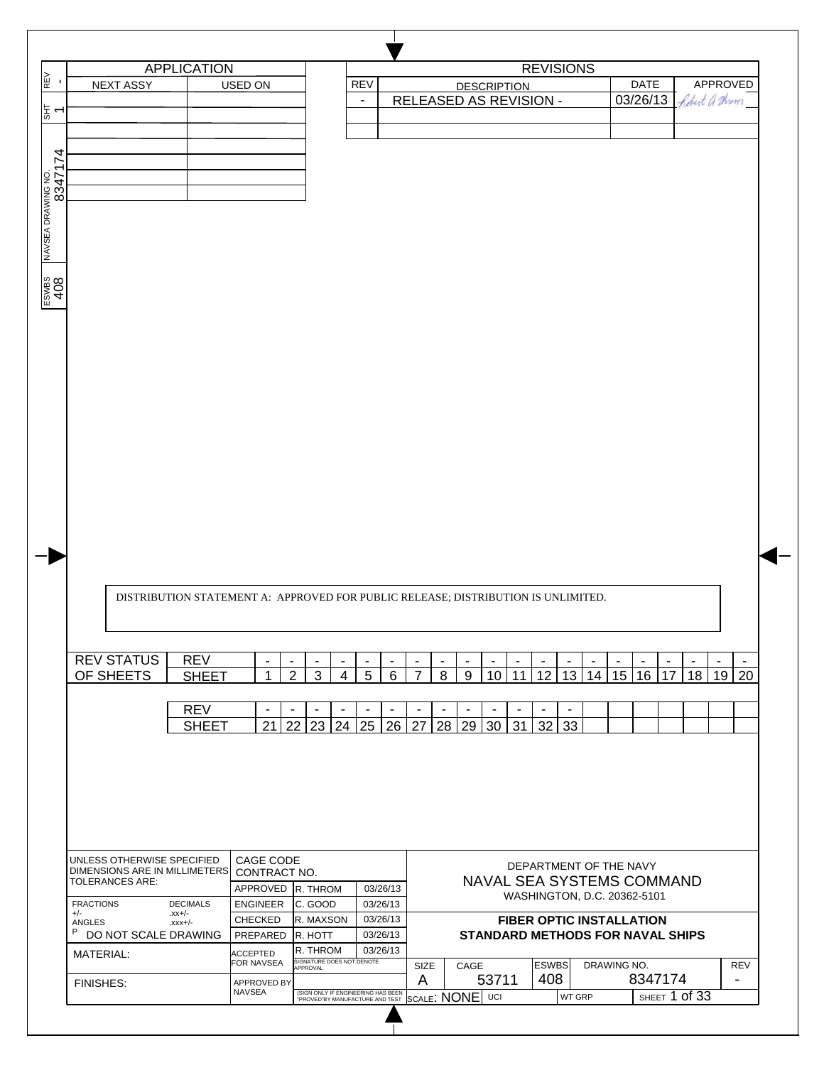|                               |                                                             | <b>APPLICATION</b>                                                                |                                     |                                                    |                          |                                  |                                            |                                         |                | <b>REVISIONS</b>                |             |                          |                          |               |                          |
|-------------------------------|-------------------------------------------------------------|-----------------------------------------------------------------------------------|-------------------------------------|----------------------------------------------------|--------------------------|----------------------------------|--------------------------------------------|-----------------------------------------|----------------|---------------------------------|-------------|--------------------------|--------------------------|---------------|--------------------------|
|                               | <b>NEXT ASSY</b>                                            |                                                                                   | USED ON                             |                                                    | <b>REV</b>               |                                  |                                            | <b>DESCRIPTION</b>                      |                |                                 |             | DATE                     |                          |               | APPROVED                 |
|                               |                                                             |                                                                                   |                                     |                                                    | $\overline{\phantom{a}}$ |                                  |                                            | RELEASED AS REVISION -                  |                |                                 |             | 03/26/13                 |                          |               | Robert a Throm           |
|                               |                                                             |                                                                                   |                                     |                                                    |                          |                                  |                                            |                                         |                |                                 |             |                          |                          |               |                          |
|                               |                                                             |                                                                                   |                                     |                                                    |                          |                                  |                                            |                                         |                |                                 |             |                          |                          |               |                          |
|                               |                                                             |                                                                                   |                                     |                                                    |                          |                                  |                                            |                                         |                |                                 |             |                          |                          |               |                          |
|                               |                                                             |                                                                                   |                                     |                                                    |                          |                                  |                                            |                                         |                |                                 |             |                          |                          |               |                          |
|                               |                                                             |                                                                                   |                                     |                                                    |                          |                                  |                                            |                                         |                |                                 |             |                          |                          |               |                          |
|                               |                                                             |                                                                                   |                                     |                                                    |                          |                                  |                                            |                                         |                |                                 |             |                          |                          |               |                          |
|                               |                                                             |                                                                                   |                                     |                                                    |                          |                                  |                                            |                                         |                |                                 |             |                          |                          |               |                          |
|                               |                                                             |                                                                                   |                                     |                                                    |                          |                                  |                                            |                                         |                |                                 |             |                          |                          |               |                          |
| NAVSEA DRAWING NO.<br>8347174 |                                                             |                                                                                   |                                     |                                                    |                          |                                  |                                            |                                         |                |                                 |             |                          |                          |               |                          |
|                               |                                                             |                                                                                   |                                     |                                                    |                          |                                  |                                            |                                         |                |                                 |             |                          |                          |               |                          |
| ESWBS<br>408                  |                                                             |                                                                                   |                                     |                                                    |                          |                                  |                                            |                                         |                |                                 |             |                          |                          |               |                          |
|                               |                                                             |                                                                                   |                                     |                                                    |                          |                                  |                                            |                                         |                |                                 |             |                          |                          |               |                          |
|                               |                                                             |                                                                                   |                                     |                                                    |                          |                                  |                                            |                                         |                |                                 |             |                          |                          |               |                          |
|                               |                                                             |                                                                                   |                                     |                                                    |                          |                                  |                                            |                                         |                |                                 |             |                          |                          |               |                          |
|                               |                                                             |                                                                                   |                                     |                                                    |                          |                                  |                                            |                                         |                |                                 |             |                          |                          |               |                          |
|                               |                                                             |                                                                                   |                                     |                                                    |                          |                                  |                                            |                                         |                |                                 |             |                          |                          |               |                          |
|                               |                                                             |                                                                                   |                                     |                                                    |                          |                                  |                                            |                                         |                |                                 |             |                          |                          |               |                          |
|                               |                                                             |                                                                                   |                                     |                                                    |                          |                                  |                                            |                                         |                |                                 |             |                          |                          |               |                          |
|                               |                                                             |                                                                                   |                                     |                                                    |                          |                                  |                                            |                                         |                |                                 |             |                          |                          |               |                          |
|                               |                                                             |                                                                                   |                                     |                                                    |                          |                                  |                                            |                                         |                |                                 |             |                          |                          |               |                          |
|                               |                                                             |                                                                                   |                                     |                                                    |                          |                                  |                                            |                                         |                |                                 |             |                          |                          |               |                          |
|                               |                                                             |                                                                                   |                                     |                                                    |                          |                                  |                                            |                                         |                |                                 |             |                          |                          |               |                          |
|                               |                                                             |                                                                                   |                                     |                                                    |                          |                                  |                                            |                                         |                |                                 |             |                          |                          |               |                          |
|                               |                                                             |                                                                                   |                                     |                                                    |                          |                                  |                                            |                                         |                |                                 |             |                          |                          |               |                          |
|                               |                                                             |                                                                                   |                                     |                                                    |                          |                                  |                                            |                                         |                |                                 |             |                          |                          |               |                          |
|                               |                                                             |                                                                                   |                                     |                                                    |                          |                                  |                                            |                                         |                |                                 |             |                          |                          |               |                          |
|                               |                                                             |                                                                                   |                                     |                                                    |                          |                                  |                                            |                                         |                |                                 |             |                          |                          |               |                          |
|                               |                                                             |                                                                                   |                                     |                                                    |                          |                                  |                                            |                                         |                |                                 |             |                          |                          |               |                          |
|                               |                                                             |                                                                                   |                                     |                                                    |                          |                                  |                                            |                                         |                |                                 |             |                          |                          |               |                          |
|                               |                                                             |                                                                                   |                                     |                                                    |                          |                                  |                                            |                                         |                |                                 |             |                          |                          |               |                          |
|                               |                                                             |                                                                                   |                                     |                                                    |                          |                                  |                                            |                                         |                |                                 |             |                          |                          |               |                          |
|                               |                                                             |                                                                                   |                                     |                                                    |                          |                                  |                                            |                                         |                |                                 |             |                          |                          |               |                          |
|                               |                                                             | DISTRIBUTION STATEMENT A: APPROVED FOR PUBLIC RELEASE; DISTRIBUTION IS UNLIMITED. |                                     |                                                    |                          |                                  |                                            |                                         |                |                                 |             |                          |                          |               |                          |
|                               |                                                             |                                                                                   |                                     |                                                    |                          |                                  |                                            |                                         |                |                                 |             |                          |                          |               |                          |
|                               |                                                             |                                                                                   |                                     |                                                    |                          |                                  |                                            |                                         |                |                                 |             |                          |                          |               |                          |
|                               |                                                             |                                                                                   |                                     |                                                    |                          |                                  |                                            |                                         |                |                                 |             |                          |                          |               |                          |
|                               | <b>REV STATUS</b>                                           | <b>REV</b>                                                                        | $\blacksquare$                      | $\blacksquare$<br>$\blacksquare$<br>$\blacksquare$ | $\blacksquare$           | $\blacksquare$<br>$\blacksquare$ | $\blacksquare$<br>$\overline{a}$           | ÷<br>$\overline{a}$                     | ٠              | ÷                               | ÷           | $\overline{\phantom{a}}$ | $\overline{\phantom{a}}$ |               | ٠.                       |
|                               | OF SHEETS                                                   | <b>SHEET</b>                                                                      | 1                                   | $\overline{2}$<br>3                                | 5<br>$\overline{4}$      | 6<br>$\overline{7}$              | 8<br>9                                     | 10<br>11                                | 12             | 13<br>14                        | 15          | 16                       | 17                       | 18            | 20<br>19 <sup>1</sup>    |
|                               |                                                             |                                                                                   |                                     |                                                    |                          |                                  |                                            |                                         |                |                                 |             |                          |                          |               |                          |
|                               |                                                             |                                                                                   | $\blacksquare$                      | $\blacksquare$<br>$\blacksquare$<br>$\blacksquare$ | $\blacksquare$           | $\blacksquare$<br>$\blacksquare$ | $\overline{\phantom{a}}$<br>$\blacksquare$ | $\blacksquare$                          | $\blacksquare$ | $\overline{\phantom{a}}$        |             |                          |                          |               |                          |
|                               |                                                             | <b>REV</b>                                                                        |                                     |                                                    |                          |                                  |                                            |                                         |                |                                 |             |                          |                          |               |                          |
|                               |                                                             | <b>SHEET</b>                                                                      | 21                                  | 22<br>23<br>24                                     | 25                       | 26<br>27                         | 28<br>29                                   | 31<br>30                                | 32             | 33                              |             |                          |                          |               |                          |
|                               |                                                             |                                                                                   |                                     |                                                    |                          |                                  |                                            |                                         |                |                                 |             |                          |                          |               |                          |
|                               |                                                             |                                                                                   |                                     |                                                    |                          |                                  |                                            |                                         |                |                                 |             |                          |                          |               |                          |
|                               |                                                             |                                                                                   |                                     |                                                    |                          |                                  |                                            |                                         |                |                                 |             |                          |                          |               |                          |
|                               |                                                             |                                                                                   |                                     |                                                    |                          |                                  |                                            |                                         |                |                                 |             |                          |                          |               |                          |
|                               |                                                             |                                                                                   |                                     |                                                    |                          |                                  |                                            |                                         |                |                                 |             |                          |                          |               |                          |
|                               |                                                             |                                                                                   |                                     |                                                    |                          |                                  |                                            |                                         |                |                                 |             |                          |                          |               |                          |
|                               |                                                             |                                                                                   |                                     |                                                    |                          |                                  |                                            |                                         |                |                                 |             |                          |                          |               |                          |
|                               |                                                             |                                                                                   |                                     |                                                    |                          |                                  |                                            |                                         |                |                                 |             |                          |                          |               |                          |
|                               | UNLESS OTHERWISE SPECIFIED<br>DIMENSIONS ARE IN MILLIMETERS |                                                                                   | CAGE CODE                           |                                                    |                          |                                  |                                            |                                         |                | DEPARTMENT OF THE NAVY          |             |                          |                          |               |                          |
|                               | <b>TOLERANCES ARE:</b>                                      |                                                                                   | CONTRACT NO.                        |                                                    |                          |                                  |                                            | NAVAL SEA SYSTEMS COMMAND               |                |                                 |             |                          |                          |               |                          |
|                               |                                                             |                                                                                   |                                     | APPROVED R. THROM                                  |                          | 03/26/13                         |                                            |                                         |                | WASHINGTON, D.C. 20362-5101     |             |                          |                          |               |                          |
| <b>FRACTIONS</b><br>$+/-$     |                                                             | <b>DECIMALS</b><br>$-xx$ +/-                                                      | <b>ENGINEER</b>                     | C. GOOD                                            |                          | 03/26/13                         |                                            |                                         |                |                                 |             |                          |                          |               |                          |
| ANGLES                        |                                                             | $-xxx+/-$                                                                         | <b>CHECKED</b>                      | R. MAXSON                                          |                          | 03/26/13                         |                                            |                                         |                | <b>FIBER OPTIC INSTALLATION</b> |             |                          |                          |               |                          |
| P                             | DO NOT SCALE DRAWING                                        |                                                                                   | PREPARED                            | R. HOTT                                            |                          | 03/26/13                         |                                            | <b>STANDARD METHODS FOR NAVAL SHIPS</b> |                |                                 |             |                          |                          |               |                          |
|                               | MATERIAL:                                                   |                                                                                   | <b>ACCEPTED</b>                     | R. THROM                                           |                          | 03/26/13                         |                                            |                                         |                |                                 |             |                          |                          |               |                          |
|                               |                                                             |                                                                                   | FOR NAVSEA                          | SIGNATURE DOES NOT DENOTE<br>APPROVAL              |                          | SIZE                             | CAGE                                       |                                         | <b>ESWBS</b>   |                                 | DRAWING NO. |                          |                          |               | <b>REV</b>               |
|                               | <b>FINISHES:</b>                                            |                                                                                   | <b>APPROVED BY</b><br><b>NAVSEA</b> | (SIGN ONLY IF ENGINEERING HAS BEEN                 |                          | A                                | SCALE: NONE UCI                            | 53711                                   | 408            | WT GRP                          |             | 8347174                  |                          | SHEET 1 of 33 | $\overline{\phantom{a}}$ |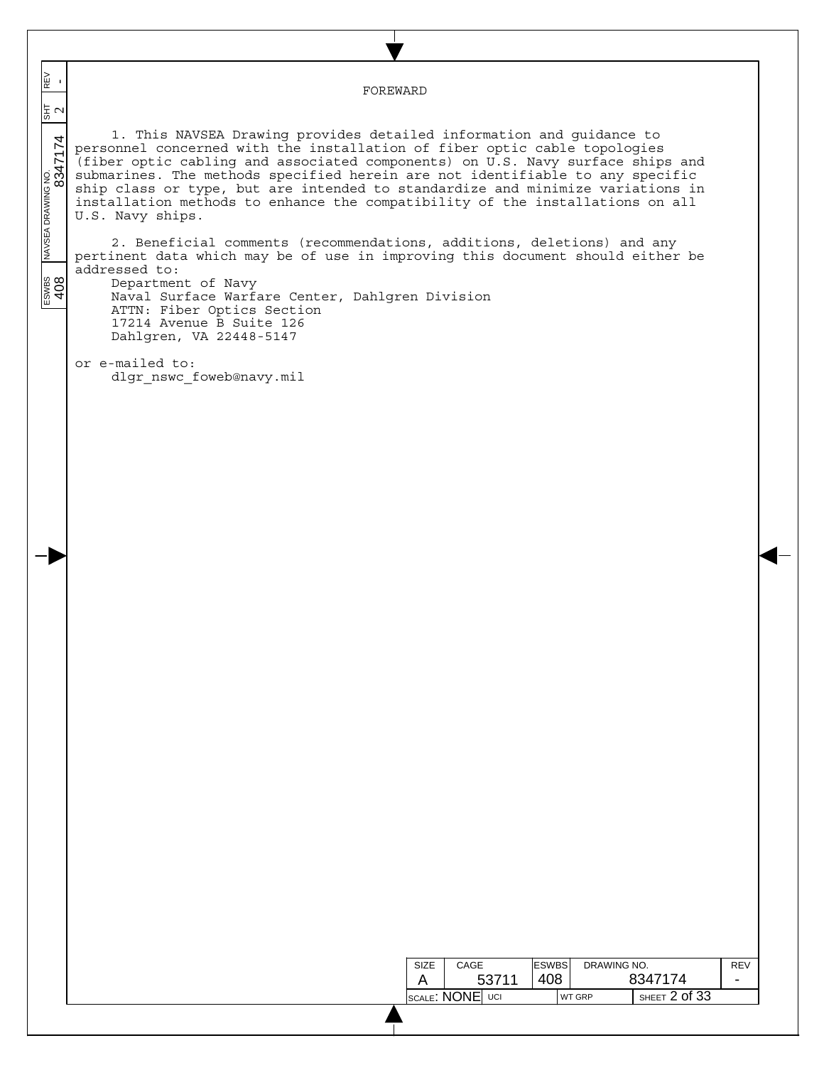$\overline{\phantom{a}}$  ESWBS NAVSEA DRAWING NO. SHT REV 408 8347174 2 - N∃<br>H FOREWARD  $\overline{\phantom{a}}$  $\frac{2}{3}$  $\overline{\phantom{a}}$ 1. This NAVSEA Drawing provides detailed information and guidance to  $\overline{\phantom{a}}$ personnel concerned with the installation of fiber optic cable topologies (fiber optic cabling and associated components) on U.S. Navy surface ships and submarines. The methods specified herein are not identifiable to any specific  $\overline{\phantom{a}}$ ship class or type, but are intended to standardize and minimize variations in installation methods to enhance the compatibility of the installations on all U.S. Navy ships. 2. Beneficial comments (recommendations, additions, deletions) and any pertinent data which may be of use in improving this document should either be addressed to:  $\frac{1}{2}$ <br>408 Department of Navy Naval Surface Warfare Center, Dahlgren Division ATTN: Fiber Optics Section 17214 Avenue B Suite 126 Dahlgren, VA 22448-5147 or e-mailed to: dlgr\_nswc\_foweb@navy.mil DRAWING NO. ESWBS SIZE CAGE REV 408 53711 8347174 A - SCALE: NONE UCI WT GRP SHEET 2 of 33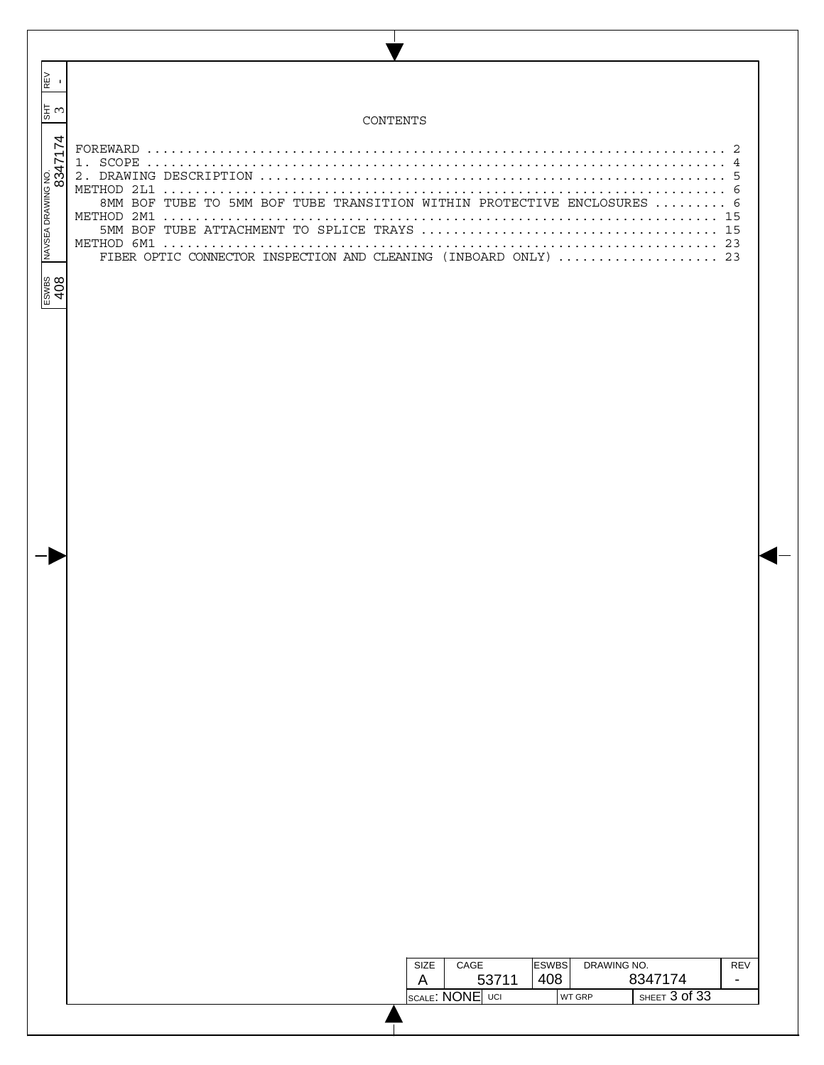| $\blacksquare$                |                                                                                                                                                   |
|-------------------------------|---------------------------------------------------------------------------------------------------------------------------------------------------|
| $\frac{1}{25}$ m              | CONTENTS                                                                                                                                          |
| NAVSEA DRAWING NO.<br>8347174 | -2<br>8MM BOF TUBE TO 5MM BOF TUBE TRANSITION WITHIN PROTECTIVE ENCLOSURES  6<br>FIBER OPTIC CONNECTOR INSPECTION AND CLEANING (INBOARD ONLY)  23 |
| ESWBS<br>408                  |                                                                                                                                                   |
|                               |                                                                                                                                                   |
|                               |                                                                                                                                                   |
|                               |                                                                                                                                                   |
|                               |                                                                                                                                                   |
|                               |                                                                                                                                                   |
|                               |                                                                                                                                                   |
|                               |                                                                                                                                                   |
|                               |                                                                                                                                                   |
|                               |                                                                                                                                                   |
|                               |                                                                                                                                                   |
|                               |                                                                                                                                                   |
|                               |                                                                                                                                                   |
|                               |                                                                                                                                                   |
|                               |                                                                                                                                                   |
|                               |                                                                                                                                                   |
|                               |                                                                                                                                                   |
|                               |                                                                                                                                                   |
|                               |                                                                                                                                                   |
|                               |                                                                                                                                                   |
|                               |                                                                                                                                                   |
|                               |                                                                                                                                                   |
|                               | DRAWING NO.<br>CAGE<br><b>ESWBS</b><br>SIZE<br><b>REV</b><br>408<br>8347174<br>53711<br>A<br>$\overline{\phantom{a}}$                             |
|                               | SHEET 3 of 33<br>SCALE: NONE UCI<br>WT GRP                                                                                                        |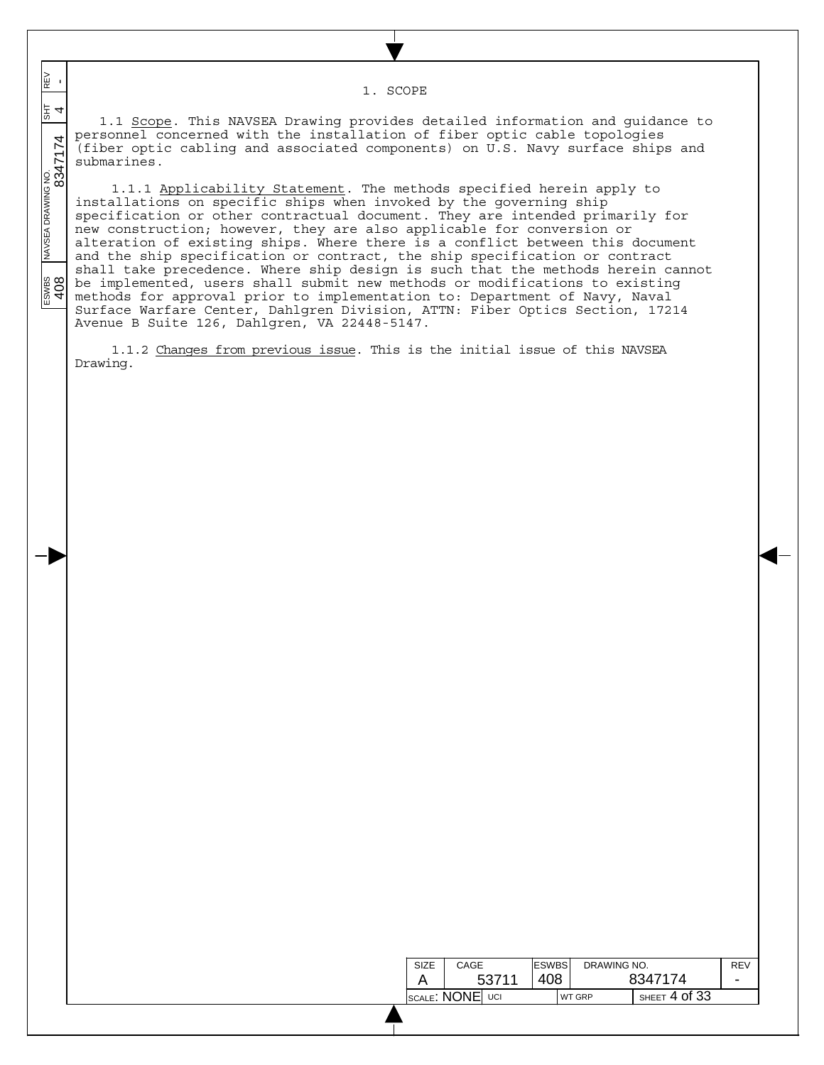1. SCOPE

 $\frac{1}{\sqrt{341}}$   $\frac{1}{\sqrt{341}}$   $\frac{1}{\sqrt{341}}$   $\frac{1}{\sqrt{341}}$   $\frac{1}{\sqrt{341}}$   $\frac{1}{\sqrt{341}}$   $\frac{1}{\sqrt{341}}$   $\frac{1}{\sqrt{341}}$   $\frac{1}{\sqrt{341}}$   $\frac{1}{\sqrt{341}}$   $\frac{1}{\sqrt{341}}$   $\frac{1}{\sqrt{341}}$   $\frac{1}{\sqrt{341}}$   $\frac{1}{\sqrt{341}}$   $\frac{1}{\sqrt{34$ 동 1.1 Scope. This NAVSEA Drawing provides detailed information and guidance to personnel concerned with the installation of fiber optic cable topologies (fiber optic cabling and associated components) on U.S. Navy surface ships and submarines.

 $\overline{\phantom{a}}$  $\overline{\phantom{a}}$  $\overline{\phantom{a}}$ 

N∃<br>M

 $\overline{\phantom{a}}$  $\overline{\phantom{a}}$ 

 $\overline{\phantom{a}}$ 

 $\frac{200}{408}$ 

1.1.1 Applicability Statement. The methods specified herein apply to installations on specific ships when invoked by the governing ship specification or other contractual document. They are intended primarily for new construction; however, they are also applicable for conversion or alteration of existing ships. Where there is a conflict between this document and the ship specification or contract, the ship specification or contract shall take precedence. Where ship design is such that the methods herein cannot be implemented, users shall submit new methods or modifications to existing methods for approval prior to implementation to: Department of Navy, Naval Surface Warfare Center, Dahlgren Division, ATTN: Fiber Optics Section, 17214 Avenue B Suite 126, Dahlgren, VA 22448-5147.

1.1.2 Changes from previous issue. This is the initial issue of this NAVSEA Drawing.

| SIZE                               | CAGE  |  | <b>ESWBS</b> |               | DRAWING NO.       |         | <b>RFV</b>               |
|------------------------------------|-------|--|--------------|---------------|-------------------|---------|--------------------------|
|                                    | 53711 |  | 408          |               |                   | 8347174 | $\overline{\phantom{a}}$ |
| $ _{\sf SCALE}$ : $\sf{NONE} $ uci |       |  |              | <b>WT GRP</b> | SHEET $4$ of $33$ |         |                          |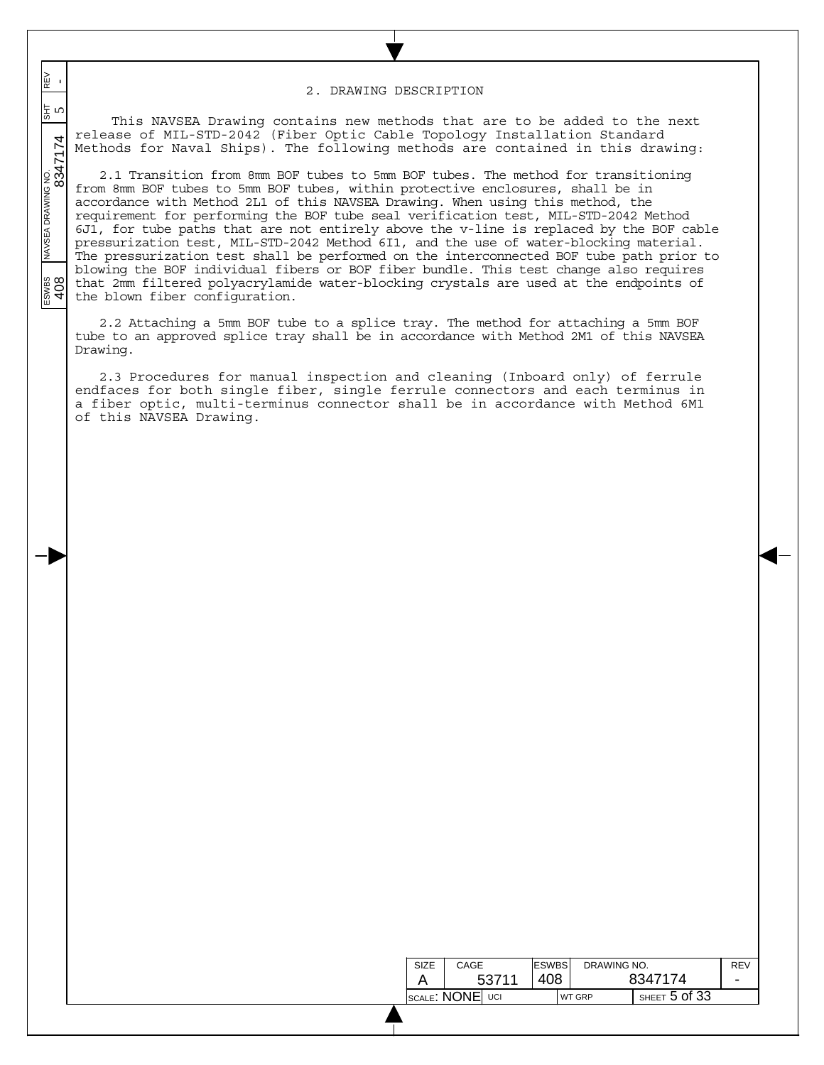## 2. DRAWING DESCRIPTION

 $\frac{1}{\sqrt{1.564 \times 10^{10}} \times 10^{10}}$  NAVSEA DRAWING NO.  $\frac{1}{\sqrt{1.564 \times 10^{10}} \times 10^{10}}$  5 65 5 This NAVSEA Drawing contains new methods that are to be added to the next release of MIL-STD-2042 (Fiber Optic Cable Topology Installation Standard Methods for Naval Ships). The following methods are contained in this drawing:

 $\overline{\phantom{a}}$  $\overline{\phantom{a}}$  $\overline{\phantom{a}}$ 

N∃<br>M

 $\overline{\phantom{a}}$  $\overline{\phantom{a}}$ 

 $\overline{\phantom{a}}$ 

**ESWES**<br>408

2.1 Transition from 8mm BOF tubes to 5mm BOF tubes. The method for transitioning from 8mm BOF tubes to 5mm BOF tubes, within protective enclosures, shall be in accordance with Method 2L1 of this NAVSEA Drawing. When using this method, the requirement for performing the BOF tube seal verification test, MIL-STD-2042 Method 6J1, for tube paths that are not entirely above the v-line is replaced by the BOF cable pressurization test, MIL-STD-2042 Method 6I1, and the use of water-blocking material. The pressurization test shall be performed on the interconnected BOF tube path prior to blowing the BOF individual fibers or BOF fiber bundle. This test change also requires that 2mm filtered polyacrylamide water-blocking crystals are used at the endpoints of the blown fiber configuration.

2.2 Attaching a 5mm BOF tube to a splice tray. The method for attaching a 5mm BOF tube to an approved splice tray shall be in accordance with Method 2M1 of this NAVSEA Drawing.

2.3 Procedures for manual inspection and cleaning (Inboard only) of ferrule endfaces for both single fiber, single ferrule connectors and each terminus in a fiber optic, multi-terminus connector shall be in accordance with Method 6M1 of this NAVSEA Drawing.

| <b>SIZE</b>     | CAGE  |     | <b>ESWBS</b> |         | DRAWING NO.   |                   | RFV |
|-----------------|-------|-----|--------------|---------|---------------|-------------------|-----|
|                 | 53711 | 408 |              | 8347174 | -             |                   |     |
| SCALE: NONE UCI |       |     |              |         | <b>WT GRP</b> | SHEET $5$ Of $33$ |     |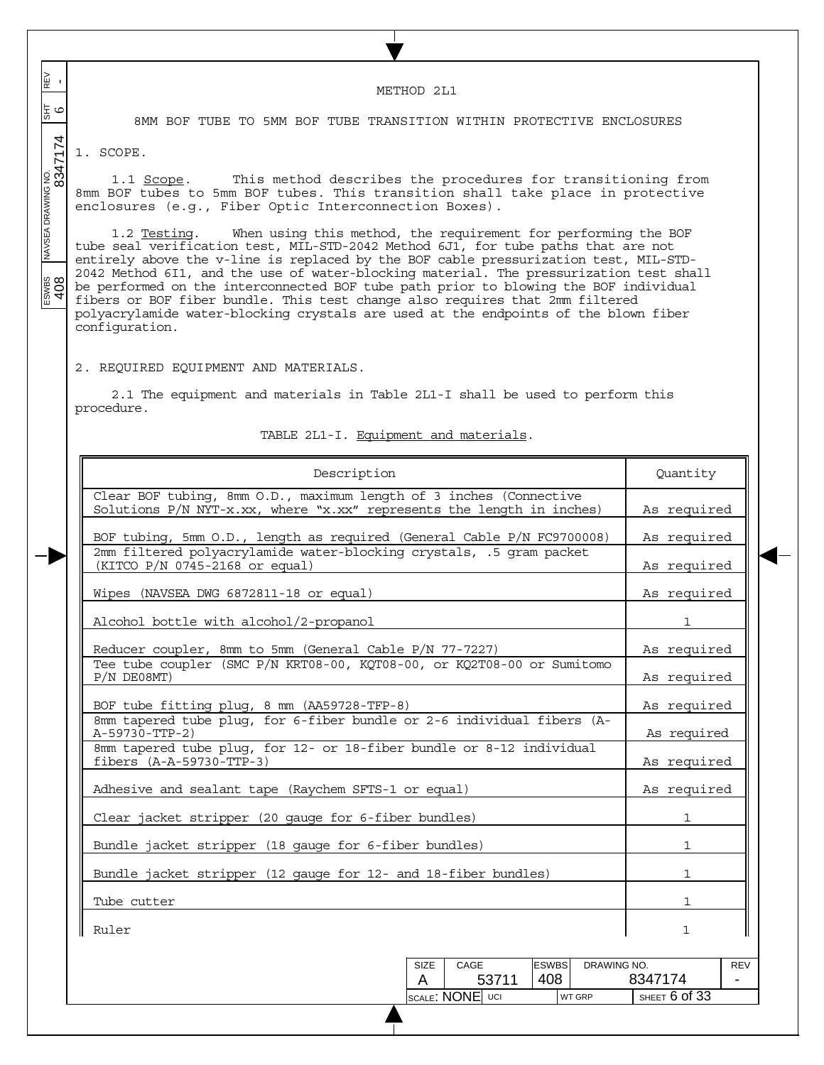$\frac{1}{\sqrt{1.564 \times 10^{10}} \times 10^{10}}$   $\frac{1}{\sqrt{1.564 \times 10^{10}} \times 10^{10}}$   $\frac{1}{\sqrt{1.564 \times 10^{10}} \times 10^{10}}$ REV<br>-METHOD 2L1 이 로 8MM BOF TUBE TO 5MM BOF TUBE TRANSITION WITHIN PROTECTIVE ENCLOSURES 1. SCOPE. 1.1 Scope. This method describes the procedures for transitioning from 8mm BOF tubes to 5mm BOF tubes. This transition shall take place in protective enclosures (e.g., Fiber Optic Interconnection Boxes). 1.2 Testing. When using this method, the requirement for performing the BOF tube seal verification test, MIL-STD-2042 Method 6J1, for tube paths that are not entirely above the v-line is replaced by the BOF cable pressurization test, MIL-STD-2042 Method 6I1, and the use of water-blocking material. The pressurization test shall ESWBS<br>408 be performed on the interconnected BOF tube path prior to blowing the BOF individual fibers or BOF fiber bundle. This test change also requires that 2mm filtered polyacrylamide water-blocking crystals are used at the endpoints of the blown fiber configuration. 2. REQUIRED EQUIPMENT AND MATERIALS. 2.1 The equipment and materials in Table 2L1-I shall be used to perform this procedure. TABLE 2L1-I. Equipment and materials. Description Quantity Clear BOF tubing, 8mm O.D., maximum length of 3 inches (Connective Solutions  $P/N$  NYT-x.xx, where "x.xx" represents the length in inches) | As required BOF tubing, 5mm O.D., length as required (General Cable P/N FC9700008) | As required 2mm filtered polyacrylamide water-blocking crystals, .5 gram packet (KITCO P/N 0745-2168 or equal) As required Wipes (NAVSEA DWG 6872811-18 or equal) and the set of the set of the set of the set of the set of the set of the set of the set of the set of the set of the set of the set of the set of the set of the set of the set of the Alcohol bottle with alcohol/2-propanol 1 Reducer coupler, 8mm to 5mm (General Cable P/N 77-7227) As required Tee tube coupler (SMC P/N KRT08-00, KQT08-00, or KQ2T08-00 or Sumitomo P/N DE08MT) and the contract of the contract of the contract of the contract of the contract of the contract of the contract of the contract of the contract of the contract of the contract of the contract of the contract o BOF tube fitting plug, 8 mm (AA59728-TFP-8) As required 8mm tapered tube plug, for 6-fiber bundle or 2-6 individual fibers (A-A-59730-TTP-2) As required and the set of the set of the set of the set of the set of the set of the set of the set of the set of the set of the set of the set of the set of the set of the set of the set of the set of the 8mm tapered tube plug, for 12- or 18-fiber bundle or 8-12 individual fibers (A-A-59730-TTP-3) 4s required Adhesive and sealant tape (Raychem SFTS-1 or equal) As required Clear jacket stripper (20 gauge for 6-fiber bundles) 1 Bundle jacket stripper (18 gauge for 6-fiber bundles) 1 Bundle jacket stripper (12 gauge for 12- and 18-fiber bundles) 1 Tube cutter 1 and 1 and 1 and 1 and 1 and 1 and 1 and 1 and 1 and 1 and 1 and 1 and 1 and 1 and 1 and 1 and 1 and 1 and 1 and 1 and 1 and 1 and 1 and 1 and 1 and 1 and 1 and 1 and 1 and 1 and 1 and 1 and 1 and 1 and 1 and Ruler to the control of the control of the control of the control of the control of the control of the control of the control of the control of the control of the control of the control of the control of the control of the DRAWING NO. ESWBS SIZE CAGE REV 408 - 53711 8347174 A SCALE: NONE UCI WT GRP SHEET 6 of 33

 $\overline{\phantom{a}}$  $\overline{\phantom{a}}$  $\overline{\phantom{a}}$ 

 $\overline{\phantom{a}}$  $\overline{\phantom{a}}$ 

 $\overline{\phantom{a}}$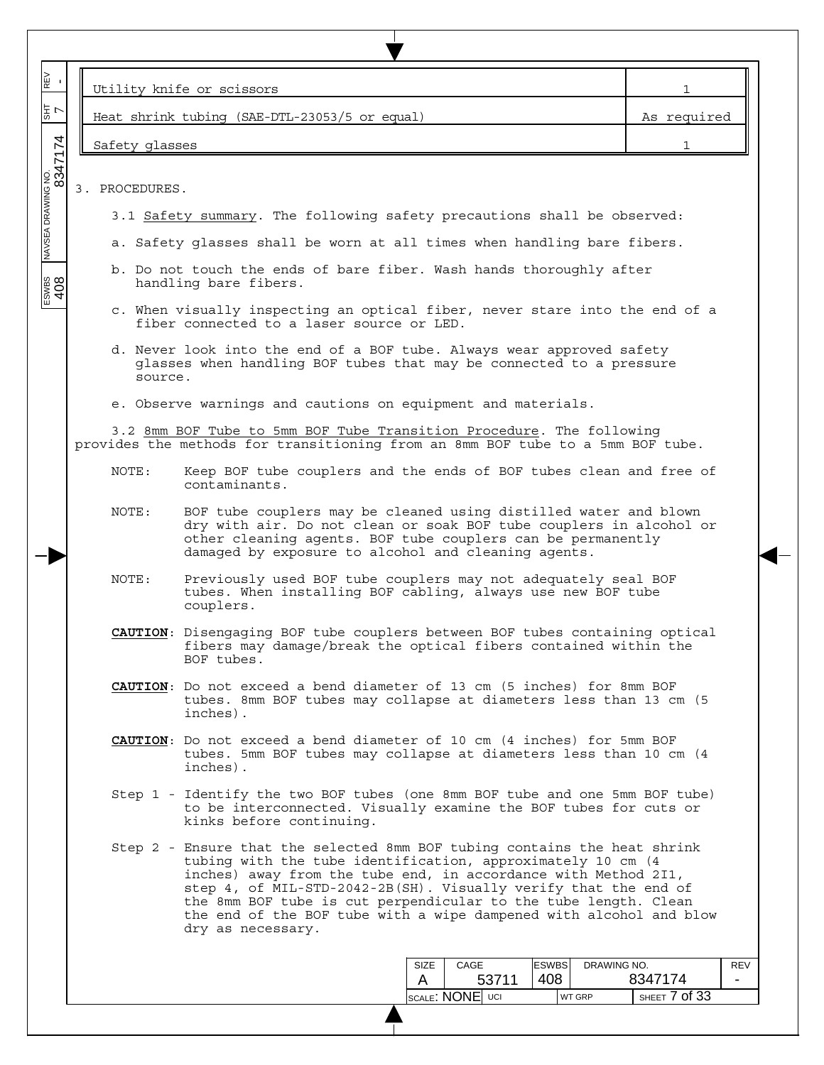| 图 -                            |                                                                                                                                                                             | Utility knife or scissors                                                                                                                                                                                                                                                                                                                                                                                                                   | 1                                                    |  |  |  |  |  |  |
|--------------------------------|-----------------------------------------------------------------------------------------------------------------------------------------------------------------------------|---------------------------------------------------------------------------------------------------------------------------------------------------------------------------------------------------------------------------------------------------------------------------------------------------------------------------------------------------------------------------------------------------------------------------------------------|------------------------------------------------------|--|--|--|--|--|--|
| 7<br>대                         |                                                                                                                                                                             | Heat shrink tubing (SAE-DTL-23053/5 or equal)                                                                                                                                                                                                                                                                                                                                                                                               | As required                                          |  |  |  |  |  |  |
|                                | Safety glasses                                                                                                                                                              |                                                                                                                                                                                                                                                                                                                                                                                                                                             |                                                      |  |  |  |  |  |  |
| INAVSEA DRAWING NO.<br>8347174 | 3. PROCEDURES.                                                                                                                                                              |                                                                                                                                                                                                                                                                                                                                                                                                                                             |                                                      |  |  |  |  |  |  |
|                                |                                                                                                                                                                             | 3.1 Safety summary. The following safety precautions shall be observed:                                                                                                                                                                                                                                                                                                                                                                     |                                                      |  |  |  |  |  |  |
|                                |                                                                                                                                                                             | a. Safety glasses shall be worn at all times when handling bare fibers.                                                                                                                                                                                                                                                                                                                                                                     |                                                      |  |  |  |  |  |  |
| ESWBS<br>408                   |                                                                                                                                                                             | b. Do not touch the ends of bare fiber. Wash hands thoroughly after<br>handling bare fibers.                                                                                                                                                                                                                                                                                                                                                |                                                      |  |  |  |  |  |  |
|                                |                                                                                                                                                                             | c. When visually inspecting an optical fiber, never stare into the end of a<br>fiber connected to a laser source or LED.                                                                                                                                                                                                                                                                                                                    |                                                      |  |  |  |  |  |  |
|                                | source.                                                                                                                                                                     | d. Never look into the end of a BOF tube. Always wear approved safety<br>glasses when handling BOF tubes that may be connected to a pressure                                                                                                                                                                                                                                                                                                |                                                      |  |  |  |  |  |  |
|                                |                                                                                                                                                                             | e. Observe warnings and cautions on equipment and materials.                                                                                                                                                                                                                                                                                                                                                                                |                                                      |  |  |  |  |  |  |
|                                |                                                                                                                                                                             | 3.2 8mm BOF Tube to 5mm BOF Tube Transition Procedure. The following<br>provides the methods for transitioning from an 8mm BOF tube to a 5mm BOF tube.                                                                                                                                                                                                                                                                                      |                                                      |  |  |  |  |  |  |
|                                | Keep BOF tube couplers and the ends of BOF tubes clean and free of<br>NOTE:<br>contaminants.                                                                                |                                                                                                                                                                                                                                                                                                                                                                                                                                             |                                                      |  |  |  |  |  |  |
|                                | NOTE:                                                                                                                                                                       | BOF tube couplers may be cleaned using distilled water and blown<br>dry with air. Do not clean or soak BOF tube couplers in alcohol or<br>other cleaning agents. BOF tube couplers can be permanently<br>damaged by exposure to alcohol and cleaning agents.                                                                                                                                                                                |                                                      |  |  |  |  |  |  |
|                                | NOTE:                                                                                                                                                                       | Previously used BOF tube couplers may not adequately seal BOF<br>tubes. When installing BOF cabling, always use new BOF tube<br>couplers.                                                                                                                                                                                                                                                                                                   |                                                      |  |  |  |  |  |  |
|                                |                                                                                                                                                                             | <b>CAUTION</b> : Disengaging BOF tube couplers between BOF tubes containing optical<br>fibers may damage/break the optical fibers contained within the<br>BOF tubes.                                                                                                                                                                                                                                                                        |                                                      |  |  |  |  |  |  |
|                                |                                                                                                                                                                             | <b>CAUTION</b> : Do not exceed a bend diameter of 13 cm (5 inches) for 8mm BOF<br>tubes. 8mm BOF tubes may collapse at diameters less than 13 cm (5<br>inches).                                                                                                                                                                                                                                                                             |                                                      |  |  |  |  |  |  |
|                                | <b>CAUTION:</b> Do not exceed a bend diameter of 10 cm (4 inches) for 5mm BOF<br>tubes. 5mm BOF tubes may collapse at diameters less than 10 cm (4<br>inches).              |                                                                                                                                                                                                                                                                                                                                                                                                                                             |                                                      |  |  |  |  |  |  |
|                                | Step 1 - Identify the two BOF tubes (one 8mm BOF tube and one 5mm BOF tube)<br>to be interconnected. Visually examine the BOF tubes for cuts or<br>kinks before continuing. |                                                                                                                                                                                                                                                                                                                                                                                                                                             |                                                      |  |  |  |  |  |  |
|                                |                                                                                                                                                                             | Step 2 - Ensure that the selected 8mm BOF tubing contains the heat shrink<br>tubing with the tube identification, approximately 10 cm (4<br>inches) away from the tube end, in accordance with Method 2I1,<br>step 4, of MIL-STD-2042-2B(SH). Visually verify that the end of<br>the 8mm BOF tube is cut perpendicular to the tube length. Clean<br>the end of the BOF tube with a wipe dampened with alcohol and blow<br>dry as necessary. |                                                      |  |  |  |  |  |  |
|                                |                                                                                                                                                                             | <b>ESWBS</b><br>DRAWING NO.<br>SIZE<br>CAGE                                                                                                                                                                                                                                                                                                                                                                                                 | REV                                                  |  |  |  |  |  |  |
|                                |                                                                                                                                                                             | 408<br>53711<br>A<br>SCALE: NONE UCI<br>WT GRP                                                                                                                                                                                                                                                                                                                                                                                              | 8347174<br>$\overline{\phantom{a}}$<br>SHEET 7 of 33 |  |  |  |  |  |  |
|                                |                                                                                                                                                                             |                                                                                                                                                                                                                                                                                                                                                                                                                                             |                                                      |  |  |  |  |  |  |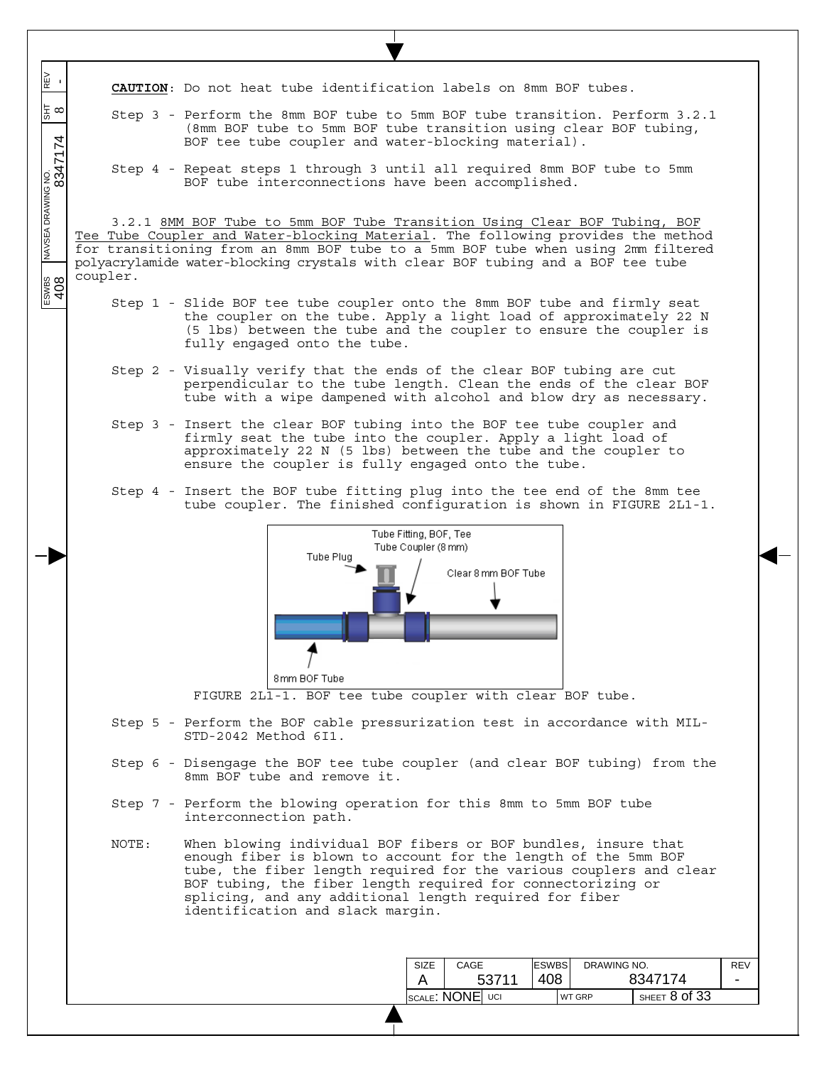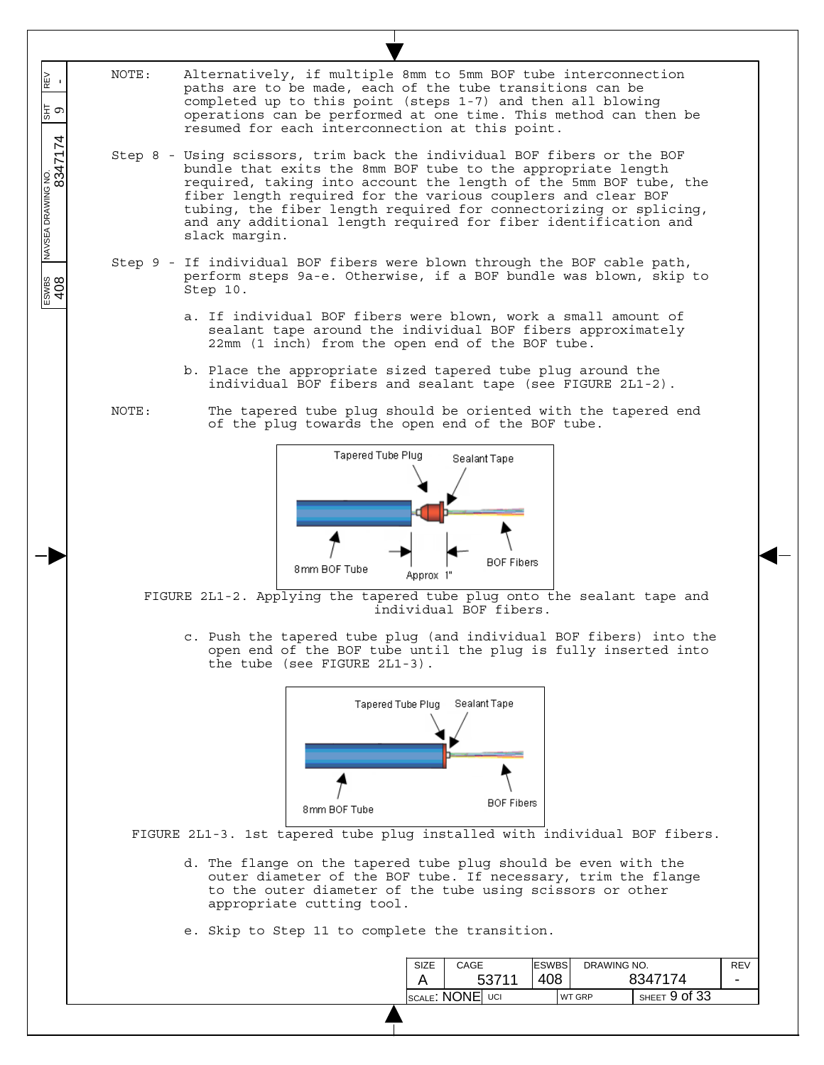| REV<br>-<br>$\frac{1}{5}$ $\sigma$ | NOTE:<br>Alternatively, if multiple 8mm to 5mm BOF tube interconnection<br>paths are to be made, each of the tube transitions can be<br>completed up to this point (steps 1-7) and then all blowing<br>operations can be performed at one time. This method can then be<br>resumed for each interconnection at this point.                                                                                                            |
|------------------------------------|---------------------------------------------------------------------------------------------------------------------------------------------------------------------------------------------------------------------------------------------------------------------------------------------------------------------------------------------------------------------------------------------------------------------------------------|
| 8347174<br>NAVSEA DRAWING NO.      | Step 8 - Using scissors, trim back the individual BOF fibers or the BOF<br>bundle that exits the 8mm BOF tube to the appropriate length<br>required, taking into account the length of the 5mm BOF tube, the<br>fiber length required for the various couplers and clear BOF<br>tubing, the fiber length required for connectorizing or splicing,<br>and any additional length required for fiber identification and<br>slack margin. |
| $\frac{1}{2}$                      | Step 9 - If individual BOF fibers were blown through the BOF cable path,<br>perform steps 9a-e. Otherwise, if a BOF bundle was blown, skip to<br>Step 10.                                                                                                                                                                                                                                                                             |
|                                    | a. If individual BOF fibers were blown, work a small amount of<br>sealant tape around the individual BOF fibers approximately<br>22mm (1 inch) from the open end of the BOF tube.                                                                                                                                                                                                                                                     |
|                                    | b. Place the appropriate sized tapered tube plug around the<br>individual BOF fibers and sealant tape (see FIGURE 2L1-2).                                                                                                                                                                                                                                                                                                             |
|                                    | The tapered tube plug should be oriented with the tapered end<br>NOTE:<br>of the plug towards the open end of the BOF tube.                                                                                                                                                                                                                                                                                                           |
|                                    | Tapered Tube Plug<br>Sealant Tape<br><b>BOF Fibers</b><br>8mm BOF Tube<br>Approx 1"                                                                                                                                                                                                                                                                                                                                                   |
|                                    | FIGURE 2L1-2. Applying the tapered tube plug onto the sealant tape and<br>individual BOF fibers.                                                                                                                                                                                                                                                                                                                                      |
|                                    | c. Push the tapered tube plug (and individual BOF fibers) into the<br>open end of the BOF tube until the plug is fully inserted into<br>the tube (see FIGURE 2L1-3).                                                                                                                                                                                                                                                                  |
|                                    | Tapered Tube Plug Sealant Tape<br><b>BOF Fibers</b><br>8mm BOF Tube                                                                                                                                                                                                                                                                                                                                                                   |
|                                    | FIGURE 2L1-3. 1st tapered tube plug installed with individual BOF fibers.                                                                                                                                                                                                                                                                                                                                                             |
|                                    | d. The flange on the tapered tube plug should be even with the<br>outer diameter of the BOF tube. If necessary, trim the flange<br>to the outer diameter of the tube using scissors or other<br>appropriate cutting tool.                                                                                                                                                                                                             |
|                                    | e. Skip to Step 11 to complete the transition.                                                                                                                                                                                                                                                                                                                                                                                        |
|                                    | <b>ESWBS</b><br>CAGE<br>DRAWING NO.<br>SIZE<br><b>REV</b><br>408<br>8347174<br>53711<br>A                                                                                                                                                                                                                                                                                                                                             |
|                                    | SCALE: NONE UCI<br>SHEET 9 of 33<br>WT GRP                                                                                                                                                                                                                                                                                                                                                                                            |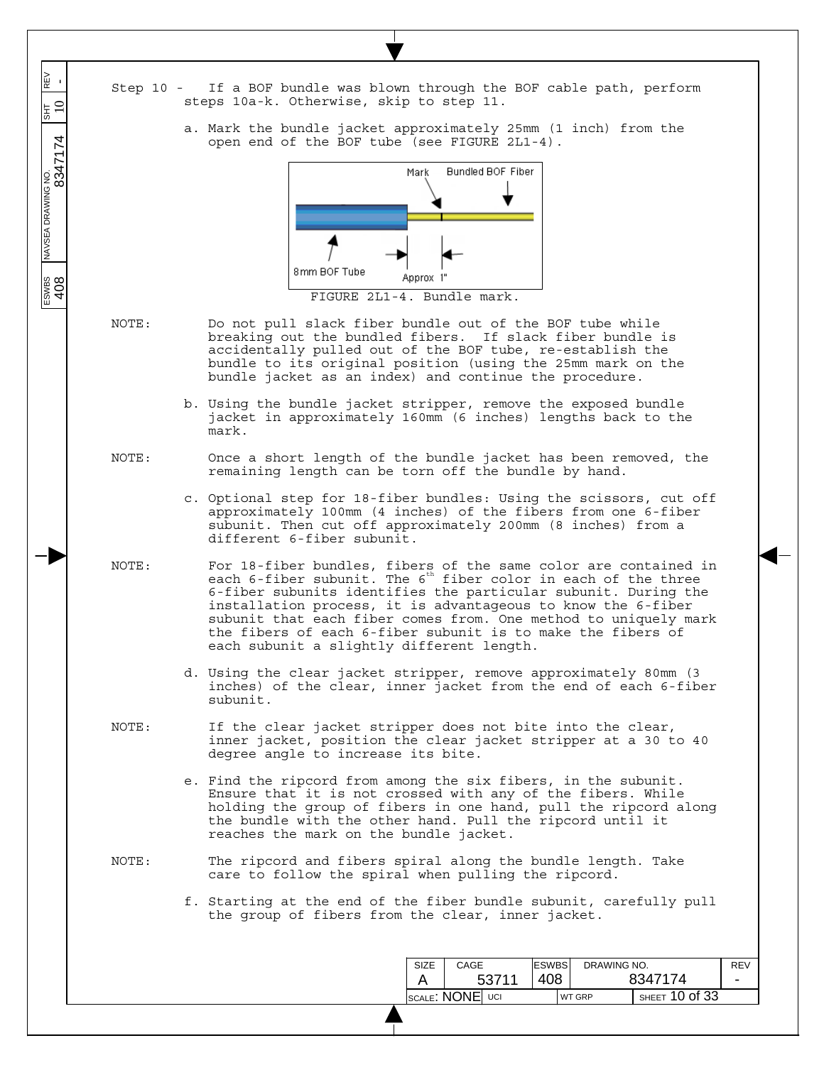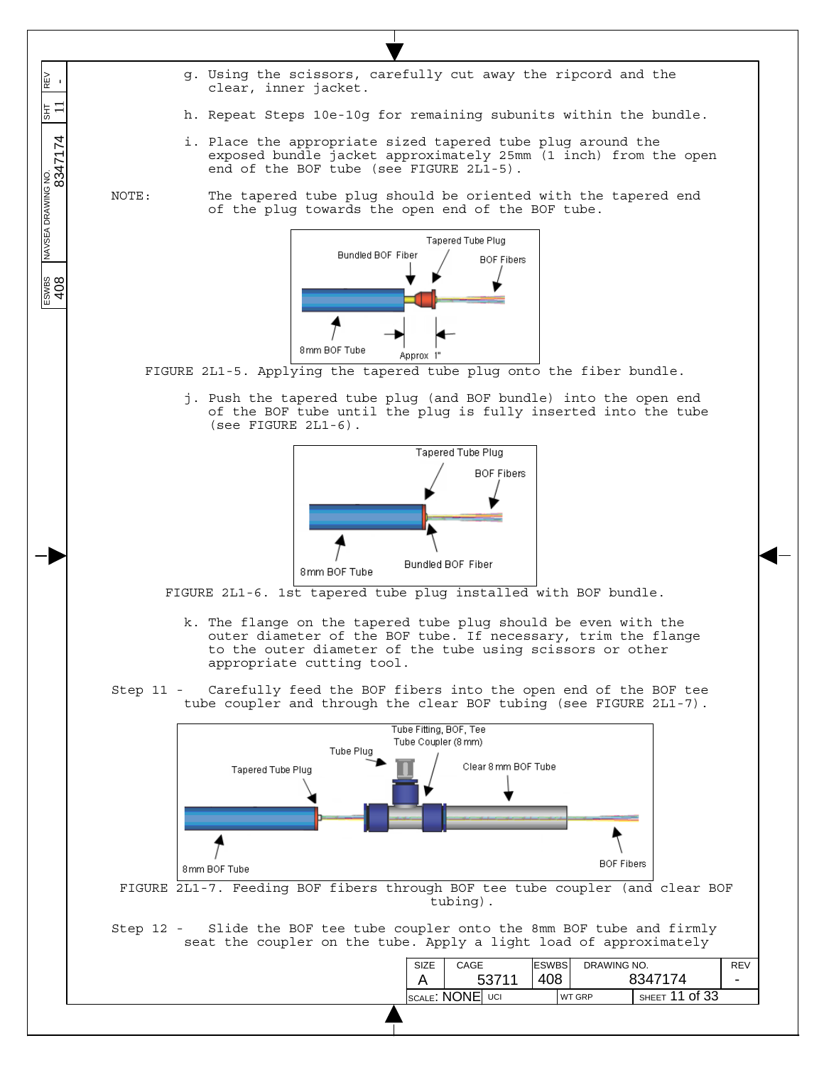- g. Using the scissors, carefully cut away the ripcord and the clear, inner jacket.
- h. Repeat Steps 10e-10g for remaining subunits within the bundle.
- i. Place the appropriate sized tapered tube plug around the exposed bundle jacket approximately 25mm (1 inch) from the open end of the BOF tube (see FIGURE 2L1-5).

 $\overline{\phantom{a}}$  $\overline{\phantom{a}}$  $\overline{\phantom{a}}$ 

N∃<br>M

 $\overline{5}$   $\overline{-}$ 

 $\overline{\phantom{a}}$  $\overline{\phantom{a}}$ 

 $\overline{\phantom{a}}$ 

 $\frac{1}{\sqrt{1.8554 \times 10^{10}} \times 10^{10}}$  NAVSEA DRAWING NO.  $\frac{1}{\sqrt{1.8554 \times 10^{10}} \times 10^{10}}$  8047174

ESWBS<br>408

NOTE: The tapered tube plug should be oriented with the tapered end of the plug towards the open end of the BOF tube.



FIGURE 2L1-5. Applying the tapered tube plug onto the fiber bundle.

j. Push the tapered tube plug (and BOF bundle) into the open end of the BOF tube until the plug is fully inserted into the tube (see FIGURE 2L1-6).



FIGURE 2L1-6. 1st tapered tube plug installed with BOF bundle.

- k. The flange on the tapered tube plug should be even with the outer diameter of the BOF tube. If necessary, trim the flange to the outer diameter of the tube using scissors or other appropriate cutting tool.
- Step 11 Carefully feed the BOF fibers into the open end of the BOF tee tube coupler and through the clear BOF tubing (see FIGURE 2L1-7).

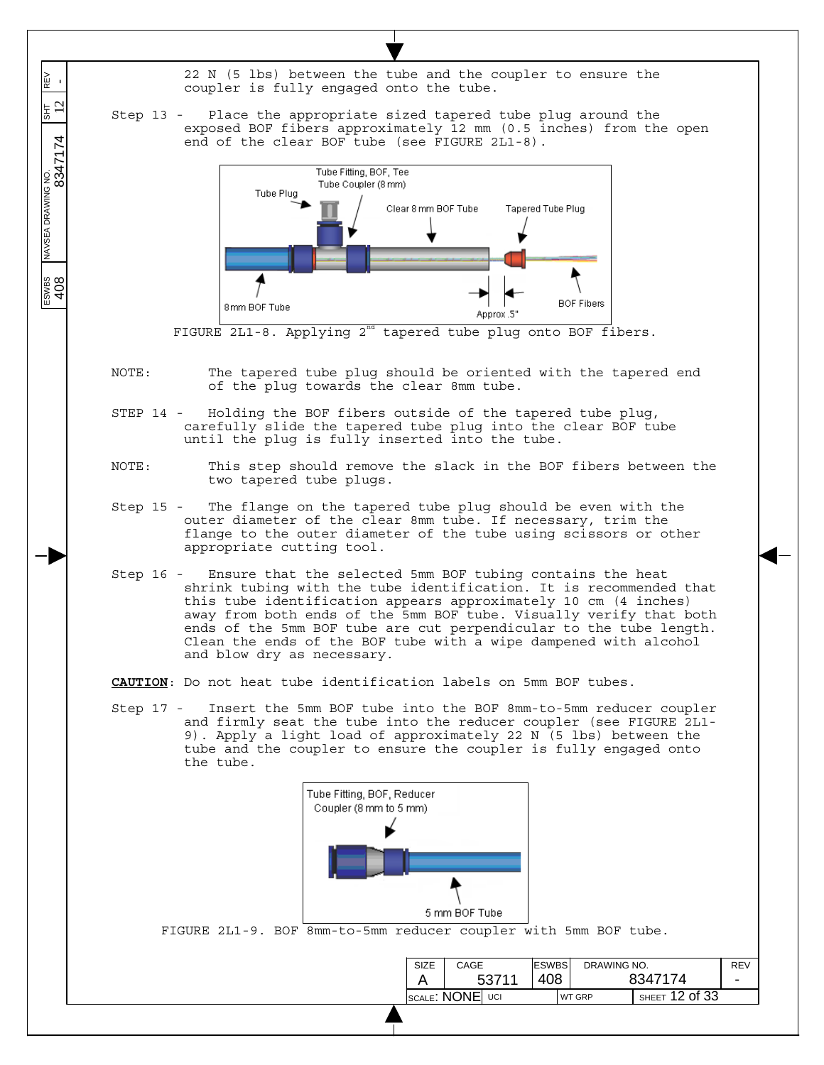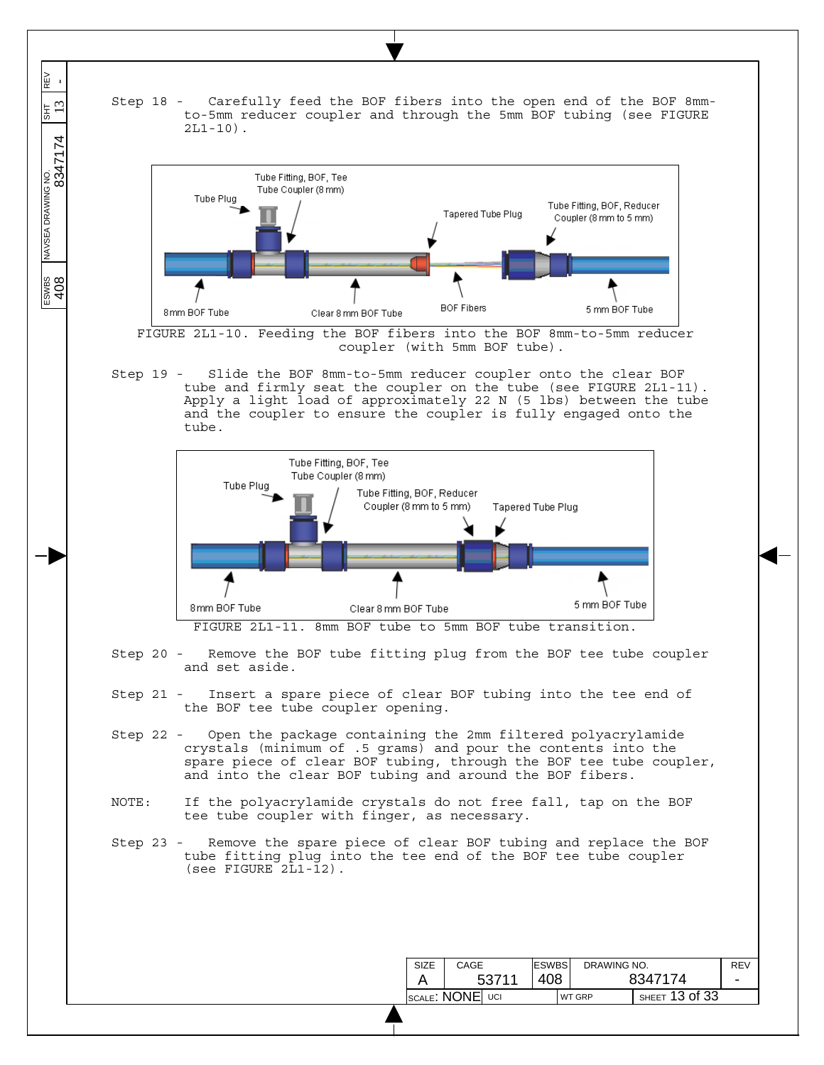

 $\overline{\phantom{a}}$  $\overline{\phantom{a}}$  $\overline{\phantom{a}}$ 

REV<br>-

 $rac{1}{3}$ 

 $\overline{\phantom{a}}$  $\overline{\phantom{a}}$ 

 $\overline{\phantom{a}}$ 

 $\frac{1}{\sqrt{1.564 \times 10^{10}} \times 10^{10}}$  NAVSEA DRAWING NO.  $\frac{1}{\sqrt{1.564 \times 10^{10}} \times 10^{10}}$  304  $\frac{1}{\sqrt{1.564 \times 10^{10}} \times 10^{10}}$ 

 $\frac{200}{408}$ 



FIGURE 2L1-10. Feeding the BOF fibers into the BOF 8mm-to-5mm reducer coupler (with 5mm BOF tube).

Step 19 - Slide the BOF 8mm-to-5mm reducer coupler onto the clear BOF tube and firmly seat the coupler on the tube (see FIGURE 2L1-11). Apply a light load of approximately 22 N (5 lbs) between the tube and the coupler to ensure the coupler is fully engaged onto the tube.



FIGURE 2L1-11. 8mm BOF tube to 5mm BOF tube transition.

- Step 20 Remove the BOF tube fitting plug from the BOF tee tube coupler and set aside.
- Step 21 Insert a spare piece of clear BOF tubing into the tee end of the BOF tee tube coupler opening.
- Step 22 Open the package containing the 2mm filtered polyacrylamide crystals (minimum of .5 grams) and pour the contents into the spare piece of clear BOF tubing, through the BOF tee tube coupler, and into the clear BOF tubing and around the BOF fibers.
- NOTE: If the polyacrylamide crystals do not free fall, tap on the BOF tee tube coupler with finger, as necessary.
- Step 23 Remove the spare piece of clear BOF tubing and replace the BOF tube fitting plug into the tee end of the BOF tee tube coupler (see FIGURE 2L1-12).

|                 | CAGE  |  | <b>ESWBS</b> |  | DRAWING NO.   |                | <b>REV</b> |
|-----------------|-------|--|--------------|--|---------------|----------------|------------|
|                 | 53711 |  | 408          |  | 8347174       |                | -          |
| SCALE: NONE UCI |       |  |              |  | <b>WT GRP</b> | SHEET 13 of 33 |            |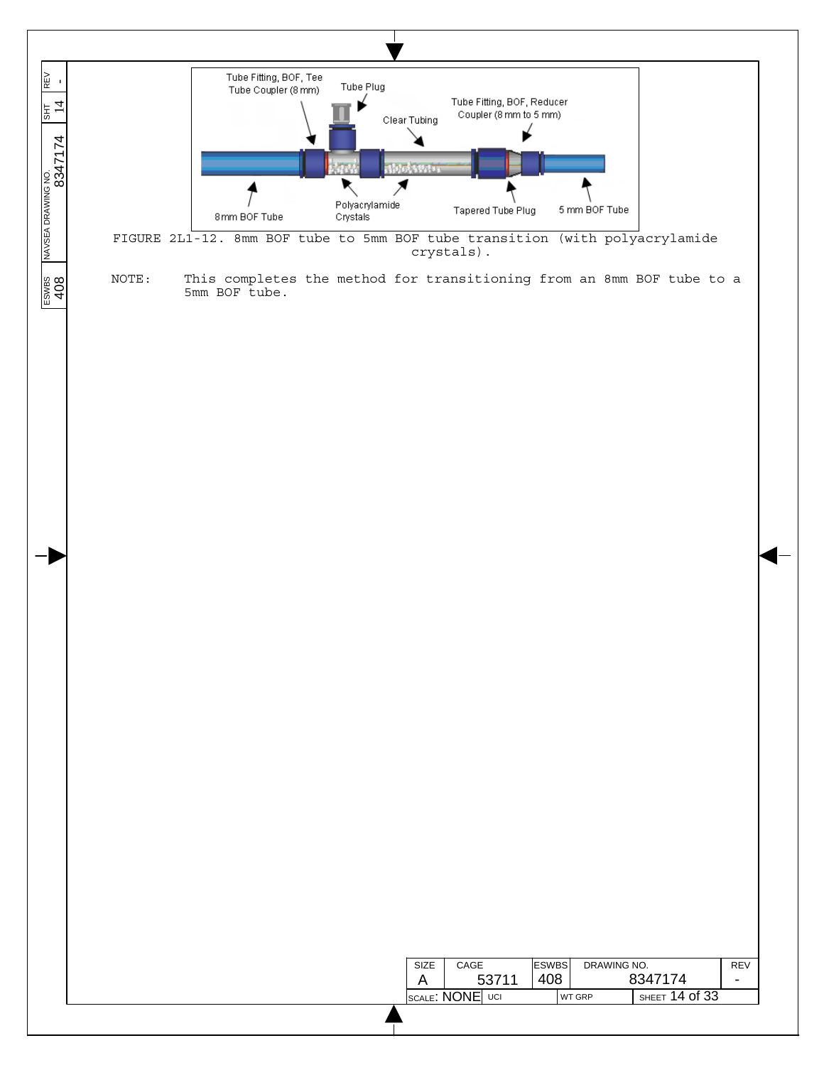

| <b>SIZE</b> | CAGE            |       | <b>ESWBS</b> | DRAWING NO.   |                    | REV |
|-------------|-----------------|-------|--------------|---------------|--------------------|-----|
|             |                 | 53711 | 408          |               | 8347174            |     |
|             | SCALE: NONE UCI |       |              | <b>WT GRP</b> | SHEET $14$ of $33$ |     |
|             |                 |       |              |               |                    |     |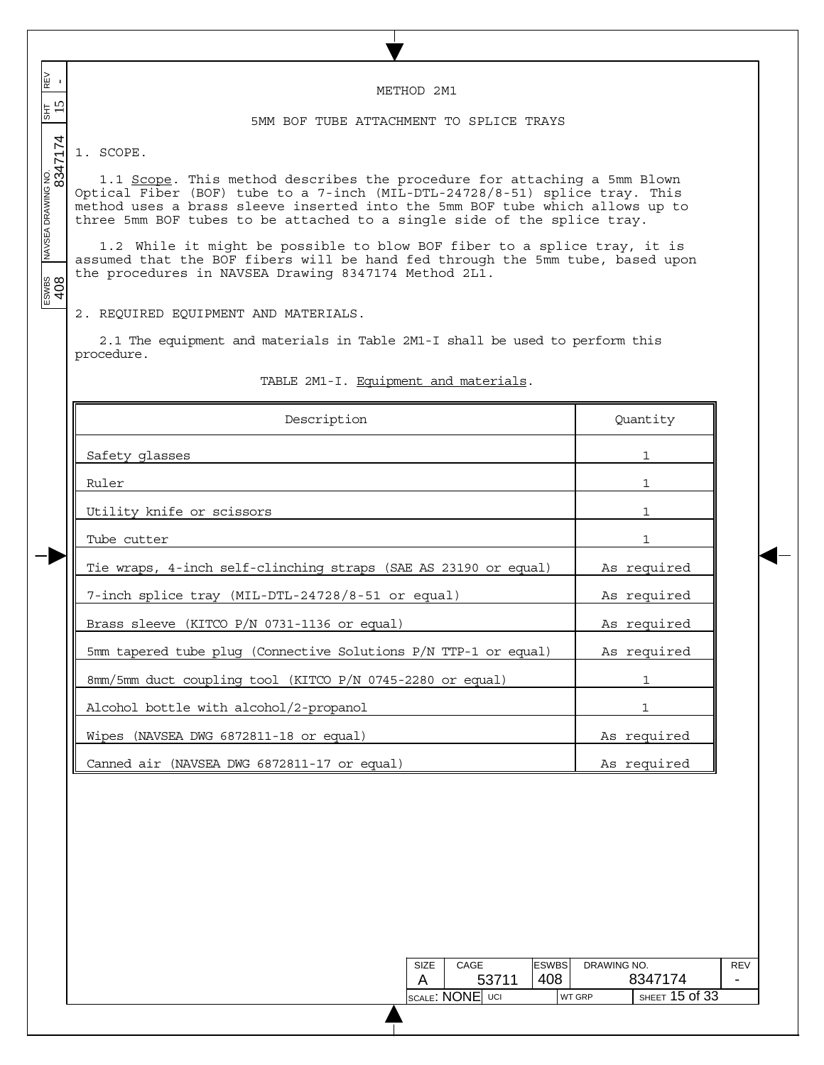ESWBS NAVSEA DRAWING NO. SHT REV 408 8347174 15 - REV<br>-METHOD 2M1  $\frac{15}{15}$ 玉 5MM BOF TUBE ATTACHMENT TO SPLICE TRAYS 1. SCOPE. 1.1 Scope. This method describes the procedure for attaching a 5mm Blown Optical Fiber (BOF) tube to a 7-inch (MIL-DTL-24728/8-51) splice tray. This method uses a brass sleeve inserted into the 5mm BOF tube which allows up to three 5mm BOF tubes to be attached to a single side of the splice tray. 1.2 While it might be possible to blow BOF fiber to a splice tray, it is assumed that the BOF fibers will be hand fed through the 5mm tube, based upon the procedures in NAVSEA Drawing 8347174 Method 2L1.  $\frac{200}{408}$ 2. REQUIRED EQUIPMENT AND MATERIALS. 2.1 The equipment and materials in Table 2M1-I shall be used to perform this procedure. TABLE 2M1-I. Equipment and materials. Description Quantity Safety glasses and the set of the set of the set of the set of the set of the set of the set of the set of the set of the set of the set of the set of the set of the set of the set of the set of the set of the set of the s Ruler is a state of the state of the state of the state of the state of the state of the state of the state of Utility knife or scissors and the set of  $\sim$  1 Tube cutter 1 Tie wraps, 4-inch self-clinching straps (SAE AS 23190 or equal) As required 7-inch splice tray (MIL-DTL-24728/8-51 or equal) As required Brass sleeve (KITCO P/N 0731-1136 or equal) As required 5mm tapered tube plug (Connective Solutions P/N TTP-1 or equal) As required 8mm/5mm duct coupling tool (KITCO P/N 0745-2280 or equal) 1 Alcohol bottle with alcohol/2-propanol 1 Wipes (NAVSEA DWG 6872811-18 or equal) As required Canned air (NAVSEA DWG 6872811-17 or equal) As required

 $\overline{\phantom{a}}$  $\overline{\phantom{a}}$  $\overline{\phantom{a}}$ 

 $\overline{\phantom{a}}$  $\overline{\phantom{a}}$ 

 $\overline{\phantom{a}}$ 

| SIZE | CAGE                                       |       | <b>ESWBS</b> | DRAWING NO.   |                    | REV |
|------|--------------------------------------------|-------|--------------|---------------|--------------------|-----|
|      |                                            | 53711 | 408          |               | 8347174            |     |
|      | $_{\texttt{SCALE}}$ : $\textsf{NONE} $ uci |       |              | <b>WT GRP</b> | SHEET $15$ Of $33$ |     |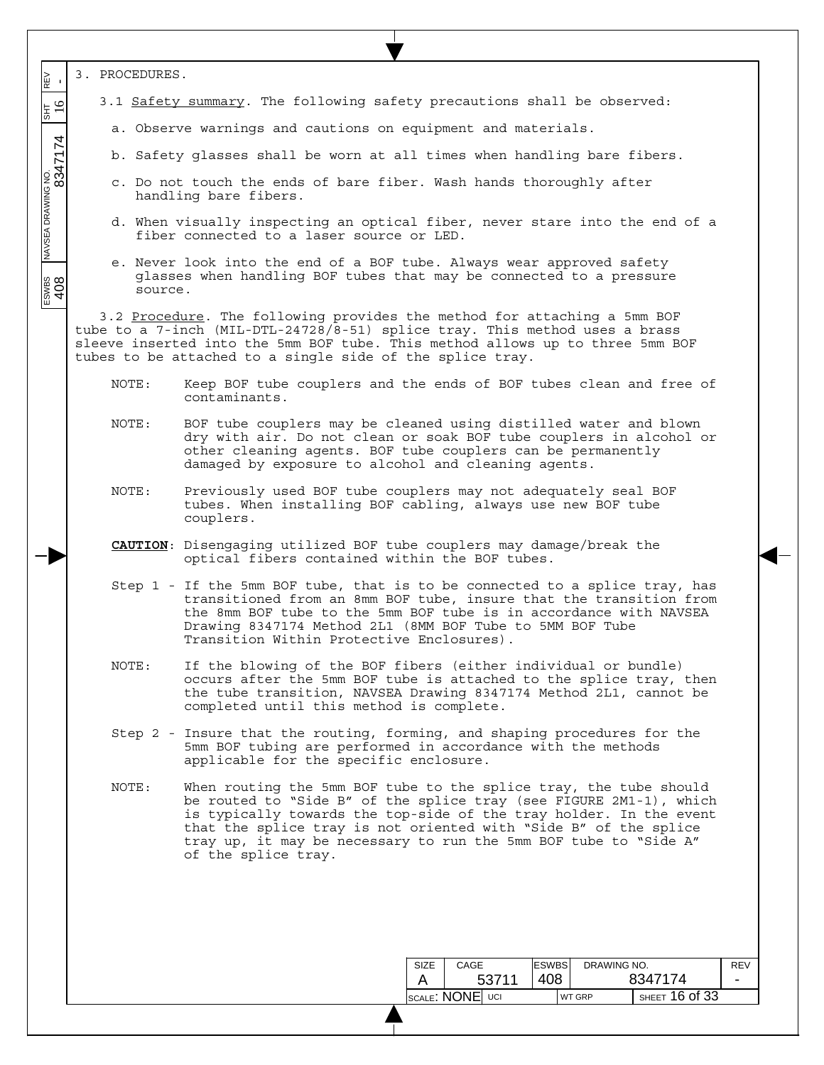| 3. PROCEDURES.<br>N≣<br>⊮<br>3.1 Safety summary. The following safety precautions shall be observed:<br>$\frac{1}{35}$<br>a. Observe warnings and cautions on equipment and materials.<br>INAVSEA DRAWING NO.<br> <br>  S347174<br>b. Safety glasses shall be worn at all times when handling bare fibers.<br>c. Do not touch the ends of bare fiber. Wash hands thoroughly after<br>handling bare fibers.<br>d. When visually inspecting an optical fiber, never stare into the end of a<br>fiber connected to a laser source or LED.<br>e. Never look into the end of a BOF tube. Always wear approved safety<br>glasses when handling BOF tubes that may be connected to a pressure<br>800<br>108<br>source.<br>3.2 Procedure. The following provides the method for attaching a 5mm BOF<br>tube to a 7-inch (MIL-DTL-24728/8-51) splice tray. This method uses a brass<br>sleeve inserted into the 5mm BOF tube. This method allows up to three 5mm BOF<br>tubes to be attached to a single side of the splice tray.<br>NOTE:<br>Keep BOF tube couplers and the ends of BOF tubes clean and free of<br>contaminants.<br>NOTE:<br>BOF tube couplers may be cleaned using distilled water and blown<br>dry with air. Do not clean or soak BOF tube couplers in alcohol or<br>other cleaning agents. BOF tube couplers can be permanently<br>damaged by exposure to alcohol and cleaning agents.<br>Previously used BOF tube couplers may not adequately seal BOF<br>NOTE:<br>tubes. When installing BOF cabling, always use new BOF tube<br>couplers.<br><b>CAUTION</b> : Disengaging utilized BOF tube couplers may damage/break the<br>optical fibers contained within the BOF tubes.<br>Step 1 - If the 5mm BOF tube, that is to be connected to a splice tray, has<br>transitioned from an 8mm BOF tube, insure that the transition from<br>the 8mm BOF tube to the 5mm BOF tube is in accordance with NAVSEA<br>Drawing 8347174 Method 2L1 (8MM BOF Tube to 5MM BOF Tube<br>Transition Within Protective Enclosures).<br>If the blowing of the BOF fibers (either individual or bundle)<br>NOTE:<br>occurs after the 5mm BOF tube is attached to the splice tray, then<br>the tube transition, NAVSEA Drawing 8347174 Method 2L1, cannot be<br>completed until this method is complete.<br>Step 2 - Insure that the routing, forming, and shaping procedures for the<br>5mm BOF tubing are performed in accordance with the methods<br>applicable for the specific enclosure. |                |  |  |  |  |  |  |  |  |
|--------------------------------------------------------------------------------------------------------------------------------------------------------------------------------------------------------------------------------------------------------------------------------------------------------------------------------------------------------------------------------------------------------------------------------------------------------------------------------------------------------------------------------------------------------------------------------------------------------------------------------------------------------------------------------------------------------------------------------------------------------------------------------------------------------------------------------------------------------------------------------------------------------------------------------------------------------------------------------------------------------------------------------------------------------------------------------------------------------------------------------------------------------------------------------------------------------------------------------------------------------------------------------------------------------------------------------------------------------------------------------------------------------------------------------------------------------------------------------------------------------------------------------------------------------------------------------------------------------------------------------------------------------------------------------------------------------------------------------------------------------------------------------------------------------------------------------------------------------------------------------------------------------------------------------------------------------------------------------------------------------------------------------------------------------------------------------------------------------------------------------------------------------------------------------------------------------------------------------------------------------------------------------------------------------------------------------------------------------------------------------------------------------------------------------------------------------------------------------------|----------------|--|--|--|--|--|--|--|--|
|                                                                                                                                                                                                                                                                                                                                                                                                                                                                                                                                                                                                                                                                                                                                                                                                                                                                                                                                                                                                                                                                                                                                                                                                                                                                                                                                                                                                                                                                                                                                                                                                                                                                                                                                                                                                                                                                                                                                                                                                                                                                                                                                                                                                                                                                                                                                                                                                                                                                                      |                |  |  |  |  |  |  |  |  |
|                                                                                                                                                                                                                                                                                                                                                                                                                                                                                                                                                                                                                                                                                                                                                                                                                                                                                                                                                                                                                                                                                                                                                                                                                                                                                                                                                                                                                                                                                                                                                                                                                                                                                                                                                                                                                                                                                                                                                                                                                                                                                                                                                                                                                                                                                                                                                                                                                                                                                      |                |  |  |  |  |  |  |  |  |
|                                                                                                                                                                                                                                                                                                                                                                                                                                                                                                                                                                                                                                                                                                                                                                                                                                                                                                                                                                                                                                                                                                                                                                                                                                                                                                                                                                                                                                                                                                                                                                                                                                                                                                                                                                                                                                                                                                                                                                                                                                                                                                                                                                                                                                                                                                                                                                                                                                                                                      |                |  |  |  |  |  |  |  |  |
|                                                                                                                                                                                                                                                                                                                                                                                                                                                                                                                                                                                                                                                                                                                                                                                                                                                                                                                                                                                                                                                                                                                                                                                                                                                                                                                                                                                                                                                                                                                                                                                                                                                                                                                                                                                                                                                                                                                                                                                                                                                                                                                                                                                                                                                                                                                                                                                                                                                                                      |                |  |  |  |  |  |  |  |  |
|                                                                                                                                                                                                                                                                                                                                                                                                                                                                                                                                                                                                                                                                                                                                                                                                                                                                                                                                                                                                                                                                                                                                                                                                                                                                                                                                                                                                                                                                                                                                                                                                                                                                                                                                                                                                                                                                                                                                                                                                                                                                                                                                                                                                                                                                                                                                                                                                                                                                                      |                |  |  |  |  |  |  |  |  |
|                                                                                                                                                                                                                                                                                                                                                                                                                                                                                                                                                                                                                                                                                                                                                                                                                                                                                                                                                                                                                                                                                                                                                                                                                                                                                                                                                                                                                                                                                                                                                                                                                                                                                                                                                                                                                                                                                                                                                                                                                                                                                                                                                                                                                                                                                                                                                                                                                                                                                      |                |  |  |  |  |  |  |  |  |
|                                                                                                                                                                                                                                                                                                                                                                                                                                                                                                                                                                                                                                                                                                                                                                                                                                                                                                                                                                                                                                                                                                                                                                                                                                                                                                                                                                                                                                                                                                                                                                                                                                                                                                                                                                                                                                                                                                                                                                                                                                                                                                                                                                                                                                                                                                                                                                                                                                                                                      |                |  |  |  |  |  |  |  |  |
|                                                                                                                                                                                                                                                                                                                                                                                                                                                                                                                                                                                                                                                                                                                                                                                                                                                                                                                                                                                                                                                                                                                                                                                                                                                                                                                                                                                                                                                                                                                                                                                                                                                                                                                                                                                                                                                                                                                                                                                                                                                                                                                                                                                                                                                                                                                                                                                                                                                                                      |                |  |  |  |  |  |  |  |  |
|                                                                                                                                                                                                                                                                                                                                                                                                                                                                                                                                                                                                                                                                                                                                                                                                                                                                                                                                                                                                                                                                                                                                                                                                                                                                                                                                                                                                                                                                                                                                                                                                                                                                                                                                                                                                                                                                                                                                                                                                                                                                                                                                                                                                                                                                                                                                                                                                                                                                                      |                |  |  |  |  |  |  |  |  |
|                                                                                                                                                                                                                                                                                                                                                                                                                                                                                                                                                                                                                                                                                                                                                                                                                                                                                                                                                                                                                                                                                                                                                                                                                                                                                                                                                                                                                                                                                                                                                                                                                                                                                                                                                                                                                                                                                                                                                                                                                                                                                                                                                                                                                                                                                                                                                                                                                                                                                      |                |  |  |  |  |  |  |  |  |
|                                                                                                                                                                                                                                                                                                                                                                                                                                                                                                                                                                                                                                                                                                                                                                                                                                                                                                                                                                                                                                                                                                                                                                                                                                                                                                                                                                                                                                                                                                                                                                                                                                                                                                                                                                                                                                                                                                                                                                                                                                                                                                                                                                                                                                                                                                                                                                                                                                                                                      |                |  |  |  |  |  |  |  |  |
|                                                                                                                                                                                                                                                                                                                                                                                                                                                                                                                                                                                                                                                                                                                                                                                                                                                                                                                                                                                                                                                                                                                                                                                                                                                                                                                                                                                                                                                                                                                                                                                                                                                                                                                                                                                                                                                                                                                                                                                                                                                                                                                                                                                                                                                                                                                                                                                                                                                                                      |                |  |  |  |  |  |  |  |  |
|                                                                                                                                                                                                                                                                                                                                                                                                                                                                                                                                                                                                                                                                                                                                                                                                                                                                                                                                                                                                                                                                                                                                                                                                                                                                                                                                                                                                                                                                                                                                                                                                                                                                                                                                                                                                                                                                                                                                                                                                                                                                                                                                                                                                                                                                                                                                                                                                                                                                                      |                |  |  |  |  |  |  |  |  |
|                                                                                                                                                                                                                                                                                                                                                                                                                                                                                                                                                                                                                                                                                                                                                                                                                                                                                                                                                                                                                                                                                                                                                                                                                                                                                                                                                                                                                                                                                                                                                                                                                                                                                                                                                                                                                                                                                                                                                                                                                                                                                                                                                                                                                                                                                                                                                                                                                                                                                      |                |  |  |  |  |  |  |  |  |
|                                                                                                                                                                                                                                                                                                                                                                                                                                                                                                                                                                                                                                                                                                                                                                                                                                                                                                                                                                                                                                                                                                                                                                                                                                                                                                                                                                                                                                                                                                                                                                                                                                                                                                                                                                                                                                                                                                                                                                                                                                                                                                                                                                                                                                                                                                                                                                                                                                                                                      |                |  |  |  |  |  |  |  |  |
| NOTE:<br>When routing the 5mm BOF tube to the splice tray, the tube should<br>be routed to "Side B" of the splice tray (see FIGURE 2M1-1), which<br>is typically towards the top-side of the tray holder. In the event<br>that the splice tray is not oriented with "Side B" of the splice<br>tray up, it may be necessary to run the 5mm BOF tube to "Side A"<br>of the splice tray.                                                                                                                                                                                                                                                                                                                                                                                                                                                                                                                                                                                                                                                                                                                                                                                                                                                                                                                                                                                                                                                                                                                                                                                                                                                                                                                                                                                                                                                                                                                                                                                                                                                                                                                                                                                                                                                                                                                                                                                                                                                                                                |                |  |  |  |  |  |  |  |  |
|                                                                                                                                                                                                                                                                                                                                                                                                                                                                                                                                                                                                                                                                                                                                                                                                                                                                                                                                                                                                                                                                                                                                                                                                                                                                                                                                                                                                                                                                                                                                                                                                                                                                                                                                                                                                                                                                                                                                                                                                                                                                                                                                                                                                                                                                                                                                                                                                                                                                                      |                |  |  |  |  |  |  |  |  |
| <b>ESWBS</b><br>DRAWING NO.<br>SIZE<br>CAGE                                                                                                                                                                                                                                                                                                                                                                                                                                                                                                                                                                                                                                                                                                                                                                                                                                                                                                                                                                                                                                                                                                                                                                                                                                                                                                                                                                                                                                                                                                                                                                                                                                                                                                                                                                                                                                                                                                                                                                                                                                                                                                                                                                                                                                                                                                                                                                                                                                          | REV            |  |  |  |  |  |  |  |  |
| 408<br>8347174<br>53711<br>A<br>SHEET 16 of 33<br>SCALE: NONE UCI                                                                                                                                                                                                                                                                                                                                                                                                                                                                                                                                                                                                                                                                                                                                                                                                                                                                                                                                                                                                                                                                                                                                                                                                                                                                                                                                                                                                                                                                                                                                                                                                                                                                                                                                                                                                                                                                                                                                                                                                                                                                                                                                                                                                                                                                                                                                                                                                                    | $\blacksquare$ |  |  |  |  |  |  |  |  |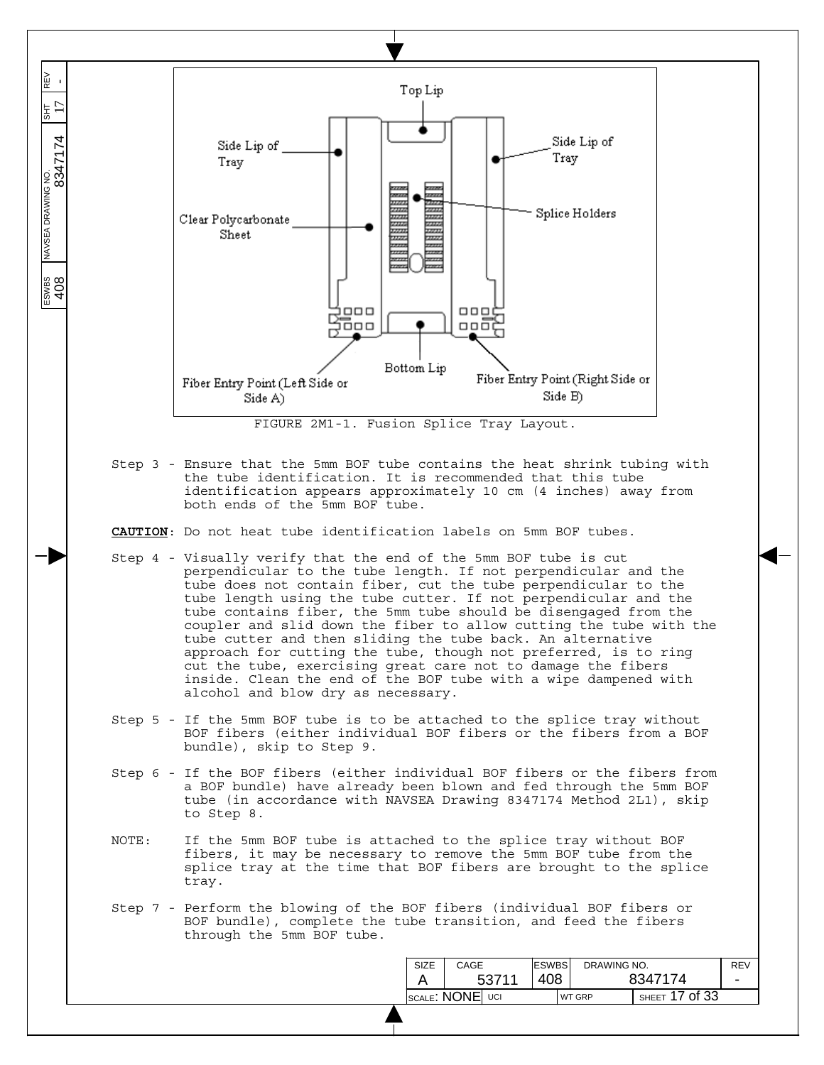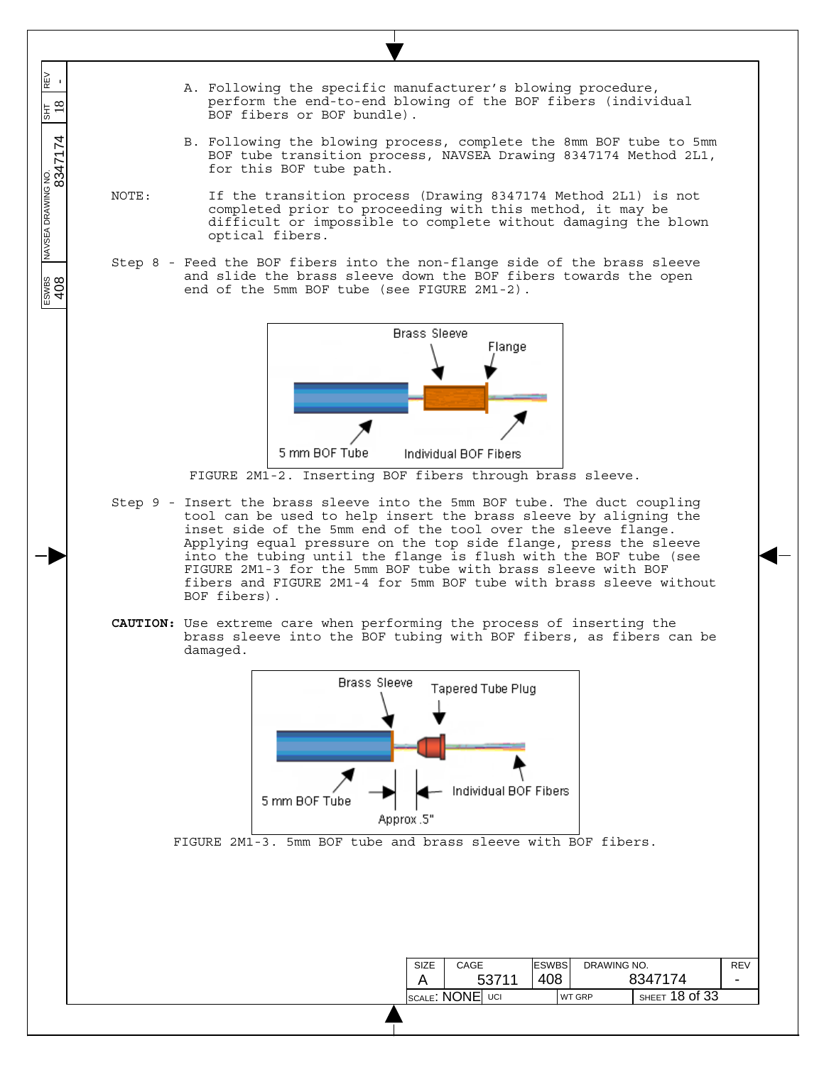A. Following the specific manufacturer's blowing procedure, perform the end-to-end blowing of the BOF fibers (individual BOF fibers or BOF bundle). B. Following the blowing process, complete the 8mm BOF tube to 5mm BOF tube transition process, NAVSEA Drawing 8347174 Method 2L1, for this BOF tube path. NOTE: If the transition process (Drawing 8347174 Method 2L1) is not completed prior to proceeding with this method, it may be difficult or impossible to complete without damaging the blown

 $\overline{\phantom{a}}$  $\overline{\phantom{a}}$  $\overline{\phantom{a}}$ 

REV<br>-

 $\frac{18}{18}$ 

 $\overline{\phantom{a}}$  $\overline{\phantom{a}}$ 

 $\overline{\phantom{a}}$ 

ESWBS NAVSEA DRAWING NO. SHT REV 408 8347174 18 -

ESWBS<br>408

Step 8 - Feed the BOF fibers into the non-flange side of the brass sleeve and slide the brass sleeve down the BOF fibers towards the open end of the 5mm BOF tube (see FIGURE 2M1-2).

optical fibers.



FIGURE 2M1-2. Inserting BOF fibers through brass sleeve.

- Step 9 Insert the brass sleeve into the 5mm BOF tube. The duct coupling tool can be used to help insert the brass sleeve by aligning the inset side of the 5mm end of the tool over the sleeve flange. Applying equal pressure on the top side flange, press the sleeve into the tubing until the flange is flush with the BOF tube (see FIGURE 2M1-3 for the 5mm BOF tube with brass sleeve with BOF fibers and FIGURE 2M1-4 for 5mm BOF tube with brass sleeve without BOF fibers).
- **CAUTION:** Use extreme care when performing the process of inserting the brass sleeve into the BOF tubing with BOF fibers, as fibers can be damaged.

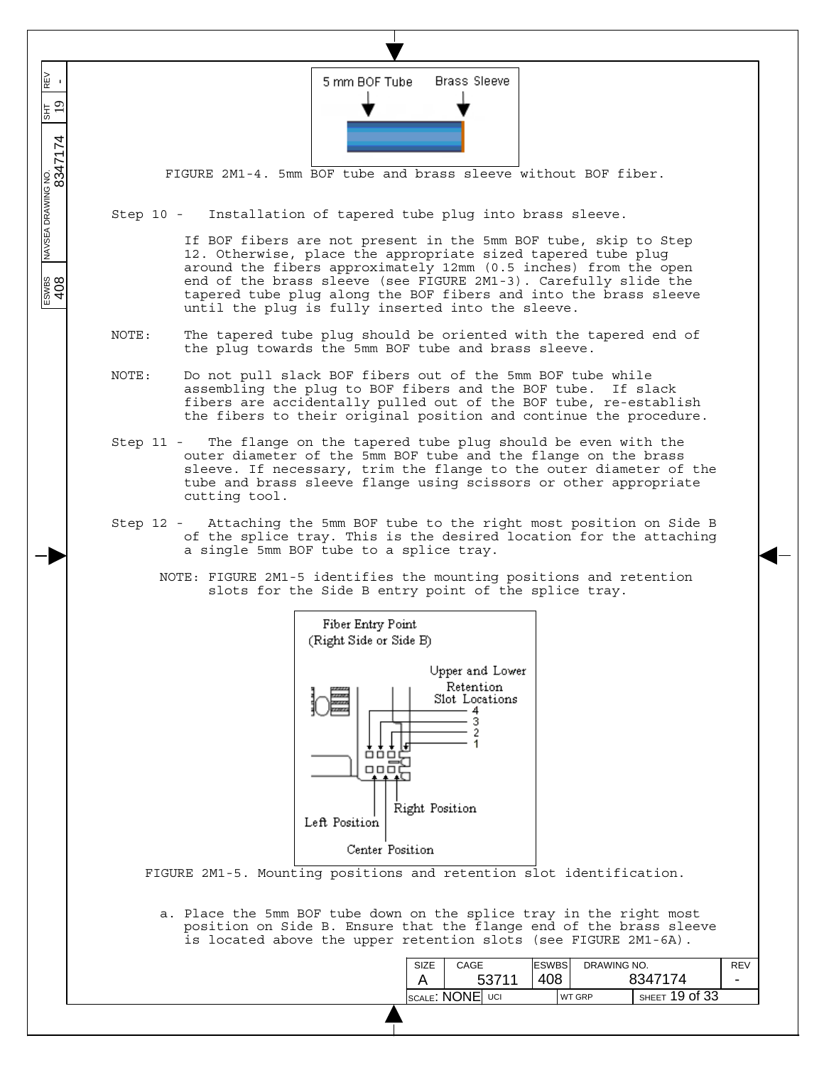

is located above the upper retention slots (see FIGURE 2M1-6A).

| SIZE                     | <b>ESWBS</b><br>DRAWING NO. |               |                | <b>REV</b> |                          |
|--------------------------|-----------------------------|---------------|----------------|------------|--------------------------|
| 53711                    |                             |               |                | 8347174    | $\overline{\phantom{0}}$ |
| Iscale <b>: NONE</b> UCI |                             | <b>WT GRP</b> | SHEET 19 of 33 |            |                          |
|                          |                             |               |                |            |                          |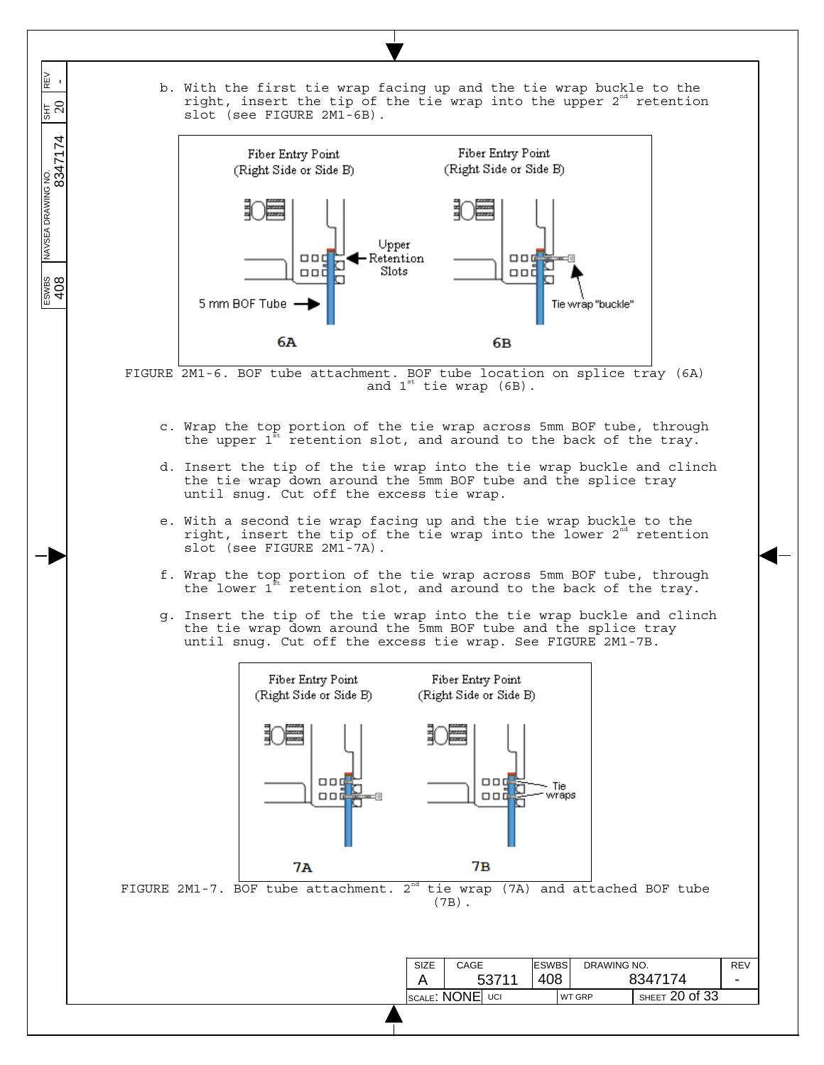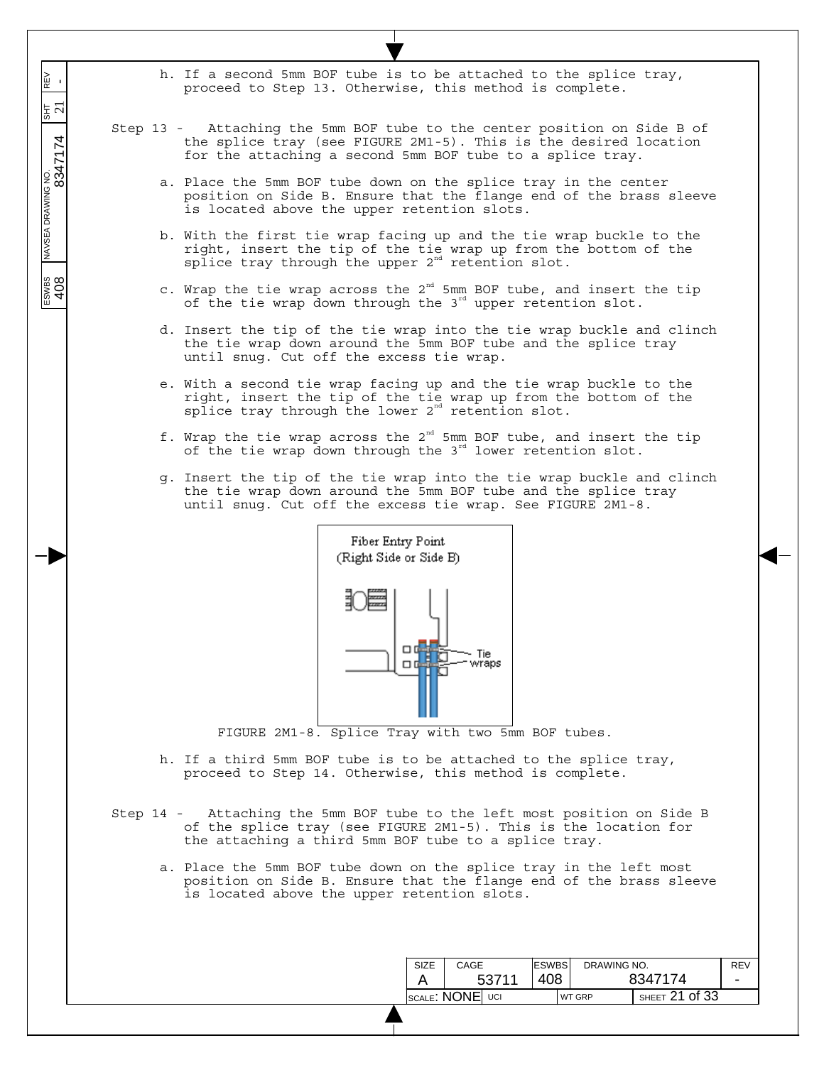h. If a second 5mm BOF tube is to be attached to the splice tray, proceed to Step 13. Otherwise, this method is complete.

 $\overline{\phantom{a}}$ REV<br>- $\overline{\phantom{a}}$ 

 $\overline{\phantom{a}}$  $\overline{\phantom{a}}$   $\frac{5}{21}$ 

 $\overline{\phantom{a}}$ 

 $\frac{1}{\sqrt{1.564 \times 10^{10}} \times 10^{10}}$  NAVSEA DRAWING NO.  $\frac{1}{\sqrt{1.564 \times 10^{10}} \times 10^{10}}$  804  $\frac{1}{\sqrt{1.564 \times 10^{10}} \times 10^{10}}$ 

 $\frac{200}{408}$ 

- Step 13 Attaching the 5mm BOF tube to the center position on Side B of the splice tray (see FIGURE 2M1-5). This is the desired location for the attaching a second 5mm BOF tube to a splice tray.
	- a. Place the 5mm BOF tube down on the splice tray in the center position on Side B. Ensure that the flange end of the brass sleeve is located above the upper retention slots.
	- b. With the first tie wrap facing up and the tie wrap buckle to the right, insert the tip of the tie wrap up from the bottom of the splice tray through the upper  $2<sup>nd</sup>$  retention slot.
	- c. Wrap the tie wrap across the  $2^{nd}$  5mm BOF tube, and insert the tip of the tie wrap down through the 3<sup>rd</sup> upper retention slot.
	- d. Insert the tip of the tie wrap into the tie wrap buckle and clinch the tie wrap down around the 5mm BOF tube and the splice tray until snug. Cut off the excess tie wrap.
	- e. With a second tie wrap facing up and the tie wrap buckle to the right, insert the tip of the tie wrap up from the bottom of the  $sp\overline{1}$ ice tray through the lower  $2^{nd}$  retention  $slot.$
	- f. Wrap the tie wrap across the  $2^{nd}$  5mm BOF tube, and insert the tip of the tie wrap down through the  $3<sup>rd</sup>$  lower retention slot.
	- g. Insert the tip of the tie wrap into the tie wrap buckle and clinch the tie wrap down around the 5mm BOF tube and the splice tray until snug. Cut off the excess tie wrap. See FIGURE 2M1-8.



FIGURE 2M1-8. Splice Tray with two 5mm BOF tubes.

- h. If a third 5mm BOF tube is to be attached to the splice tray, proceed to Step 14. Otherwise, this method is complete.
- Step 14 Attaching the 5mm BOF tube to the left most position on Side B of the splice tray (see FIGURE 2M1-5). This is the location for the attaching a third 5mm BOF tube to a splice tray.
	- a. Place the 5mm BOF tube down on the splice tray in the left most position on Side B. Ensure that the flange end of the brass sleeve is located above the upper retention slots.

| SIZE            | CAGE | <b>ESWBS</b><br>DRAWING NO. |     |  |                                     | <b>REV</b> |                          |
|-----------------|------|-----------------------------|-----|--|-------------------------------------|------------|--------------------------|
|                 |      | 53711                       | 408 |  |                                     | 8347174    | $\overline{\phantom{0}}$ |
| SCALE: NONE UCI |      |                             |     |  | SHEET $21$ of $33$<br><b>WT GRP</b> |            |                          |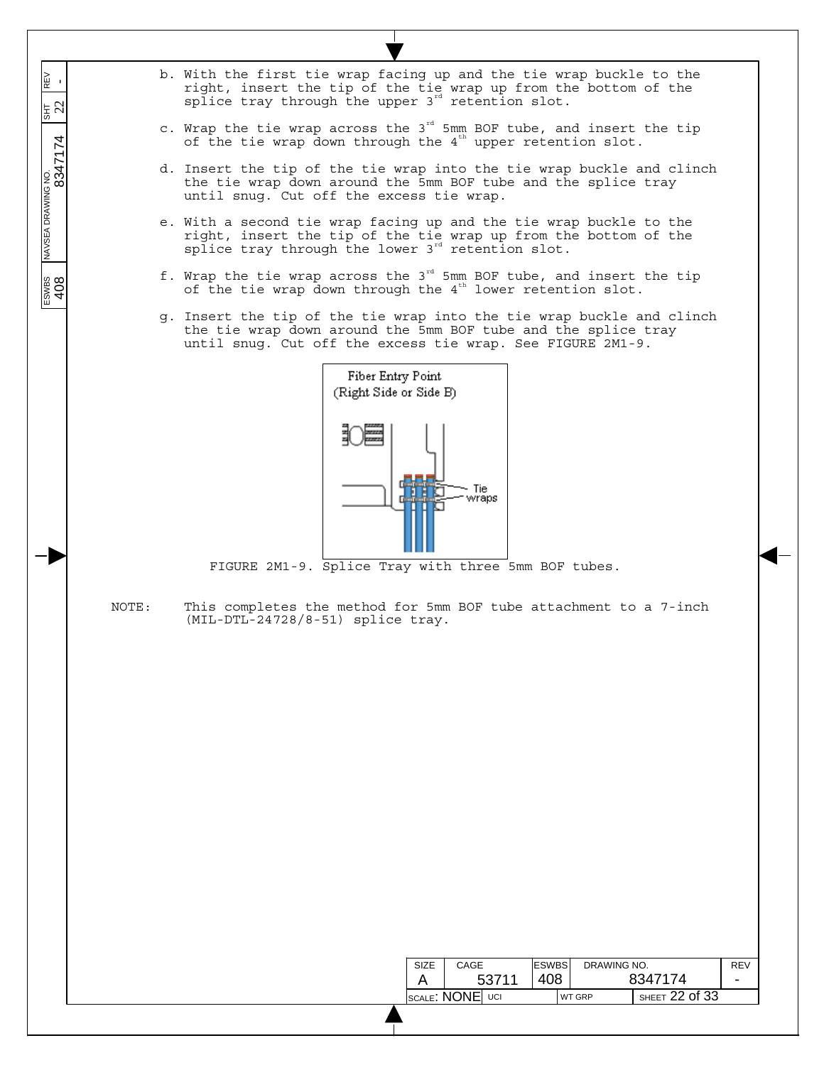b. With the first tie wrap facing up and the tie wrap buckle to the right, insert the tip of the tie wrap up from the bottom of the splice tray through the upper  $3^{rd}$  retention slot.

 $\overline{\phantom{a}}$ REV<br>- $\overline{\phantom{a}}$ 

 $\overline{\phantom{a}}$  $\overline{\phantom{a}}$   $\frac{1}{2}$   $\frac{1}{2}$ 

 $\overline{\phantom{a}}$ 

 $\frac{\text{Fswes}}{408}$  NAVSEA DRAWING NO.  $\frac{1}{817}$  REV 8347174 20

- c. Wrap the tie wrap across the  $3^{rd}$  5mm BOF tube, and insert the tip of the tie wrap down through the  $4^{\text{th}}$  upper retention slot.
- d. Insert the tip of the tie wrap into the tie wrap buckle and clinch the tie wrap down around the 5mm BOF tube and the splice tray until snug. Cut off the excess tie wrap.
- e. With a second tie wrap facing up and the tie wrap buckle to the right, insert the tip of the tie wrap up from the bottom of the  $sp\overline{1}$ ice tray through the lower  $3^{rd}$  retention  $slot.$
- f. Wrap the tie wrap across the  $3^{rd}$  5mm BOF tube, and insert the tip of the tie wrap down through the  $4^{\text{th}}$  lower retention slot.
- g. Insert the tip of the tie wrap into the tie wrap buckle and clinch the tie wrap down around the 5mm BOF tube and the splice tray until snug. Cut off the excess tie wrap. See FIGURE 2M1-9.



FIGURE 2M1-9. Splice Tray with three 5mm BOF tubes.

NOTE: This completes the method for 5mm BOF tube attachment to a 7-inch (MIL-DTL-24728/8-51) splice tray.

| SIZE            | CAGE |       | <b>ESWBS</b> | DRAWING NO.   |                    | <b>REV</b>               |
|-----------------|------|-------|--------------|---------------|--------------------|--------------------------|
|                 |      | 53711 | 408          |               | 8347174            | $\overline{\phantom{0}}$ |
| SCALE: NONE UCI |      |       |              | <b>WT GRP</b> | SHEET $22$ of $33$ |                          |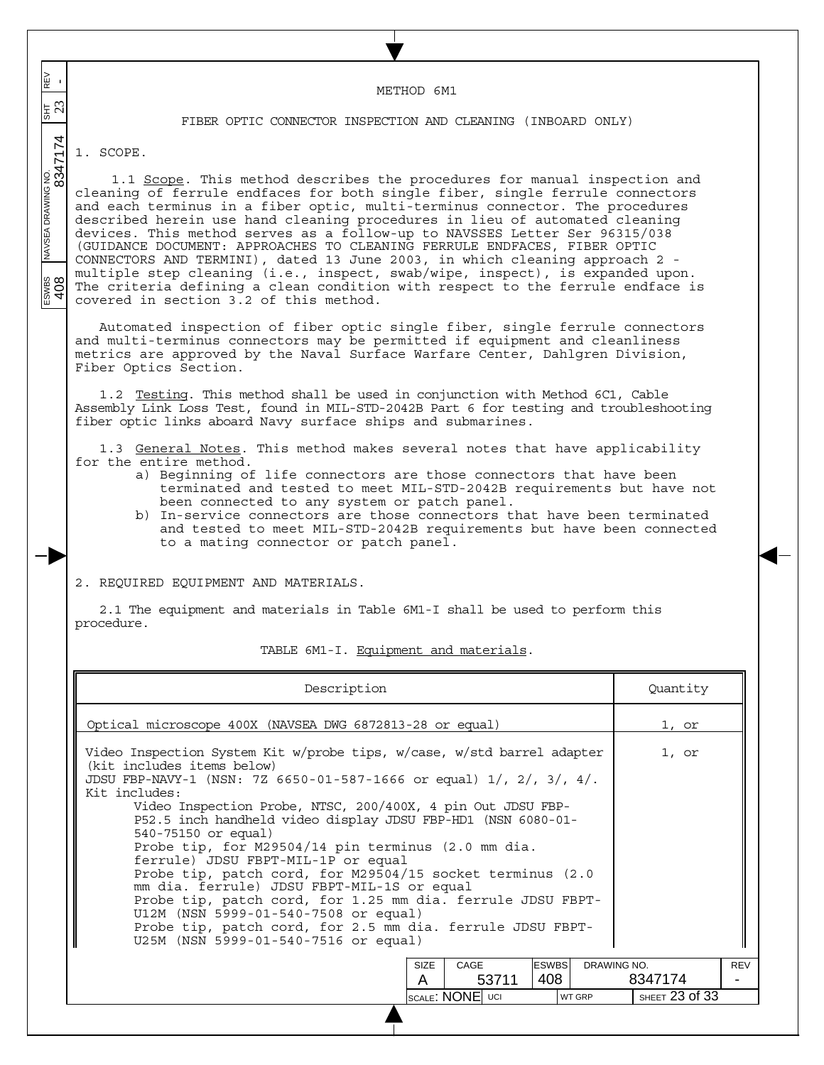$\overline{\phantom{a}}$  $\frac{1}{\sqrt{347}}$   $\frac{1}{\sqrt{347}}$   $\frac{1}{\sqrt{347}}$   $\frac{1}{\sqrt{347}}$   $\frac{1}{\sqrt{347}}$   $\frac{1}{\sqrt{347}}$   $\frac{1}{\sqrt{347}}$   $\frac{1}{\sqrt{347}}$   $\frac{1}{\sqrt{347}}$   $\frac{1}{\sqrt{347}}$   $\frac{1}{\sqrt{347}}$   $\frac{1}{\sqrt{347}}$   $\frac{1}{\sqrt{347}}$   $\frac{1}{\sqrt{347}}$   $\frac{1}{\sqrt{34$ REV<br>- $\overline{\phantom{a}}$ METHOD 6M1  $\frac{1}{5}$   $\frac{1}{21}$ FIBER OPTIC CONNECTOR INSPECTION AND CLEANING (INBOARD ONLY)  $\overline{\phantom{a}}$  $\overline{\phantom{a}}$ 1. SCOPE.  $\overline{\phantom{a}}$ 1.1 Scope. This method describes the procedures for manual inspection and cleaning of ferrule endfaces for both single fiber, single ferrule connectors and each terminus in a fiber optic, multi-terminus connector. The procedures described herein use hand cleaning procedures in lieu of automated cleaning devices. This method serves as a follow-up to NAVSSES Letter Ser 96315/038 (GUIDANCE DOCUMENT: APPROACHES TO CLEANING FERRULE ENDFACES, FIBER OPTIC CONNECTORS AND TERMINI), dated 13 June 2003, in which cleaning approach 2 multiple step cleaning (i.e., inspect, swab/wipe, inspect), is expanded upon.  $rac{1}{408}$ The criteria defining a clean condition with respect to the ferrule endface is covered in section 3.2 of this method. Automated inspection of fiber optic single fiber, single ferrule connectors and multi-terminus connectors may be permitted if equipment and cleanliness metrics are approved by the Naval Surface Warfare Center, Dahlgren Division, Fiber Optics Section. 1.2 Testing. This method shall be used in conjunction with Method 6C1, Cable Assembly Link Loss Test, found in MIL-STD-2042B Part 6 for testing and troubleshooting fiber optic links aboard Navy surface ships and submarines. 1.3 General Notes. This method makes several notes that have applicability for the entire method. a) Beginning of life connectors are those connectors that have been terminated and tested to meet MIL-STD-2042B requirements but have not been connected to any system or patch panel. b) In-service connectors are those connectors that have been terminated and tested to meet MIL-STD-2042B requirements but have been connected to a mating connector or patch panel. 2. REQUIRED EQUIPMENT AND MATERIALS. 2.1 The equipment and materials in Table 6M1-I shall be used to perform this procedure. TABLE 6M1-I. Equipment and materials. Description Quantity Optical microscope 400X (NAVSEA DWG 6872813-28 or equal) 1, or Video Inspection System Kit w/probe tips, w/case, w/std barrel adapter 1, or (kit includes items below) JDSU FBP-NAVY-1 (NSN: 7Z 6650-01-587-1666 or equal) 1/, 2/, 3/, 4/. Kit includes: Video Inspection Probe, NTSC, 200/400X, 4 pin Out JDSU FBP-P52.5 inch handheld video display JDSU FBP-HD1 (NSN 6080-01- 540-75150 or equal) Probe tip, for M29504/14 pin terminus (2.0 mm dia. ferrule) JDSU FBPT-MIL-1P or equal Probe tip, patch cord, for M29504/15 socket terminus (2.0 mm dia. ferrule) JDSU FBPT-MIL-1S or equal Probe tip, patch cord, for 1.25 mm dia. ferrule JDSU FBPT-U12M (NSN 5999-01-540-7508 or equal) Probe tip, patch cord, for 2.5 mm dia. ferrule JDSU FBPT-U25M (NSN 5999-01-540-7516 or equal)

SIZE A CAGE 53711 ESWBS 408 DRAWING NO. 8347174 REV - SCALE: NONE UCI WT GRP SHEET 23 of 33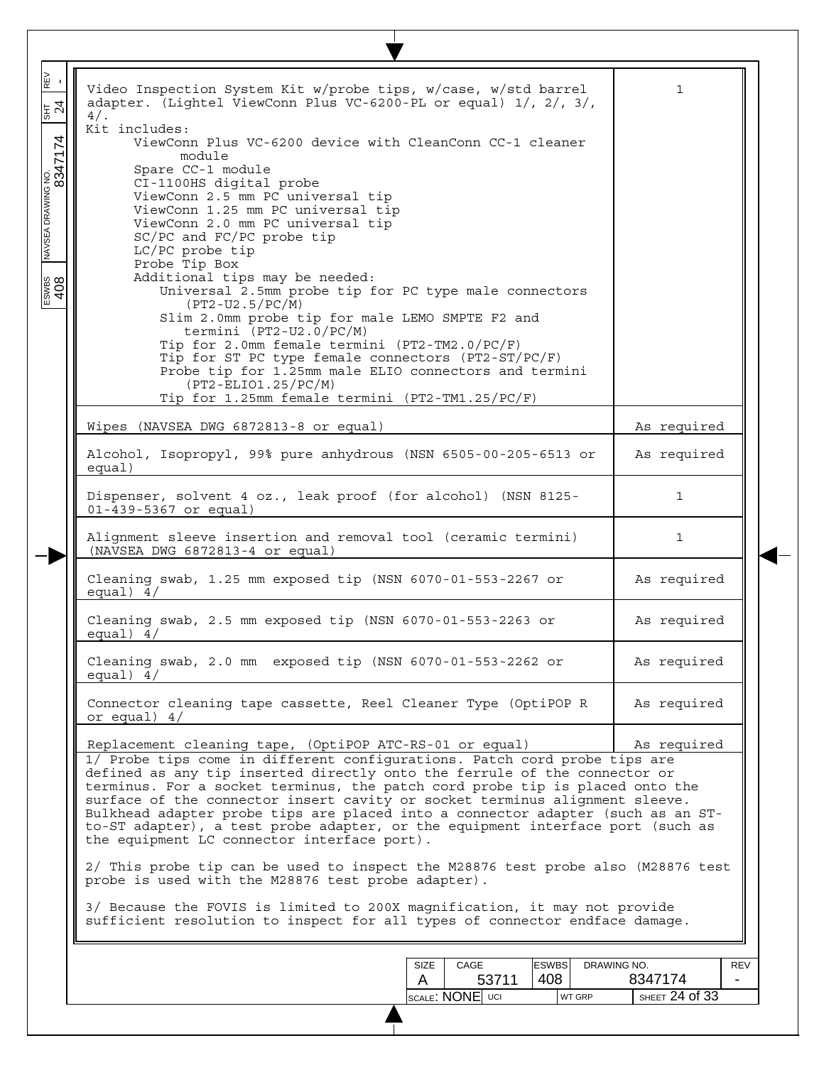| Video Inspection System Kit w/probe tips, w/case, w/std barrel<br>adapter. (Lightel ViewConn Plus VC-6200-PL or equal) 1/, 2/, 3/,                                                                                                                                                                                                                                                                                                                                                                                                        | $\mathbf{1}$                         |
|-------------------------------------------------------------------------------------------------------------------------------------------------------------------------------------------------------------------------------------------------------------------------------------------------------------------------------------------------------------------------------------------------------------------------------------------------------------------------------------------------------------------------------------------|--------------------------------------|
| $4/$ .<br>Kit includes:                                                                                                                                                                                                                                                                                                                                                                                                                                                                                                                   |                                      |
| ViewConn Plus VC-6200 device with CleanConn CC-1 cleaner<br>module                                                                                                                                                                                                                                                                                                                                                                                                                                                                        |                                      |
| Spare CC-1 module<br>CI-1100HS digital probe                                                                                                                                                                                                                                                                                                                                                                                                                                                                                              |                                      |
| ViewConn 2.5 mm PC universal tip<br>ViewConn 1.25 mm PC universal tip<br>ViewConn 2.0 mm PC universal tip<br>SC/PC and FC/PC probe tip                                                                                                                                                                                                                                                                                                                                                                                                    |                                      |
| LC/PC probe tip<br>Probe Tip Box                                                                                                                                                                                                                                                                                                                                                                                                                                                                                                          |                                      |
| Additional tips may be needed:<br>Universal 2.5mm probe tip for PC type male connectors<br>$(PT2-U2.5/PC/M)$                                                                                                                                                                                                                                                                                                                                                                                                                              |                                      |
| Slim 2.0mm probe tip for male LEMO SMPTE F2 and<br>termini (PT2-U2.0/PC/M)<br>Tip for 2.0mm female termini (PT2-TM2.0/PC/F)                                                                                                                                                                                                                                                                                                                                                                                                               |                                      |
| Tip for ST PC type female connectors (PT2-ST/PC/F)<br>Probe tip for 1.25mm male ELIO connectors and termini<br>$(PT2 - ELIO1.25/PC/M)$                                                                                                                                                                                                                                                                                                                                                                                                    |                                      |
| Tip for 1.25mm female termini (PT2-TM1.25/PC/F)                                                                                                                                                                                                                                                                                                                                                                                                                                                                                           |                                      |
| Wipes (NAVSEA DWG 6872813-8 or equal)                                                                                                                                                                                                                                                                                                                                                                                                                                                                                                     | As required                          |
| Alcohol, Isopropyl, 99% pure anhydrous (NSN 6505-00-205-6513 or<br>equal)                                                                                                                                                                                                                                                                                                                                                                                                                                                                 | As required                          |
| Dispenser, solvent 4 oz., leak proof (for alcohol) (NSN 8125-<br>01-439-5367 or equal)                                                                                                                                                                                                                                                                                                                                                                                                                                                    | 1                                    |
| Alignment sleeve insertion and removal tool (ceramic termini)<br>(NAVSEA DWG 6872813-4 or equal)                                                                                                                                                                                                                                                                                                                                                                                                                                          | 1                                    |
| Cleaning swab, 1.25 mm exposed tip (NSN 6070-01-553-2267 or<br>equal) $4/$                                                                                                                                                                                                                                                                                                                                                                                                                                                                | As required                          |
| Cleaning swab, 2.5 mm exposed tip (NSN 6070-01-553-2263 or<br>equal) 4/                                                                                                                                                                                                                                                                                                                                                                                                                                                                   | As required                          |
| Cleaning swab, 2.0 mm exposed tip (NSN 6070-01-553-2262 or<br>equal) $4/$                                                                                                                                                                                                                                                                                                                                                                                                                                                                 | As required                          |
| Connector cleaning tape cassette, Reel Cleaner Type (OptiPOP R<br>or equal) $4/$                                                                                                                                                                                                                                                                                                                                                                                                                                                          | As required                          |
| Replacement cleaning tape, (OptiPOP ATC-RS-01 or equal)                                                                                                                                                                                                                                                                                                                                                                                                                                                                                   | As required                          |
| 1/ Probe tips come in different configurations. Patch cord probe tips are<br>defined as any tip inserted directly onto the ferrule of the connector or<br>terminus. For a socket terminus, the patch cord probe tip is placed onto the<br>surface of the connector insert cavity or socket terminus alignment sleeve.<br>Bulkhead adapter probe tips are placed into a connector adapter (such as an ST-<br>to-ST adapter), a test probe adapter, or the equipment interface port (such as<br>the equipment LC connector interface port). |                                      |
| 2/ This probe tip can be used to inspect the M28876 test probe also (M28876 test<br>probe is used with the M28876 test probe adapter).                                                                                                                                                                                                                                                                                                                                                                                                    |                                      |
| 3/ Because the FOVIS is limited to 200X magnification, it may not provide<br>sufficient resolution to inspect for all types of connector endface damage.                                                                                                                                                                                                                                                                                                                                                                                  |                                      |
| <b>ESWBS</b><br>CAGE<br>SIZE<br>408<br>53711<br>A                                                                                                                                                                                                                                                                                                                                                                                                                                                                                         | DRAWING NO.<br><b>REV</b><br>8347174 |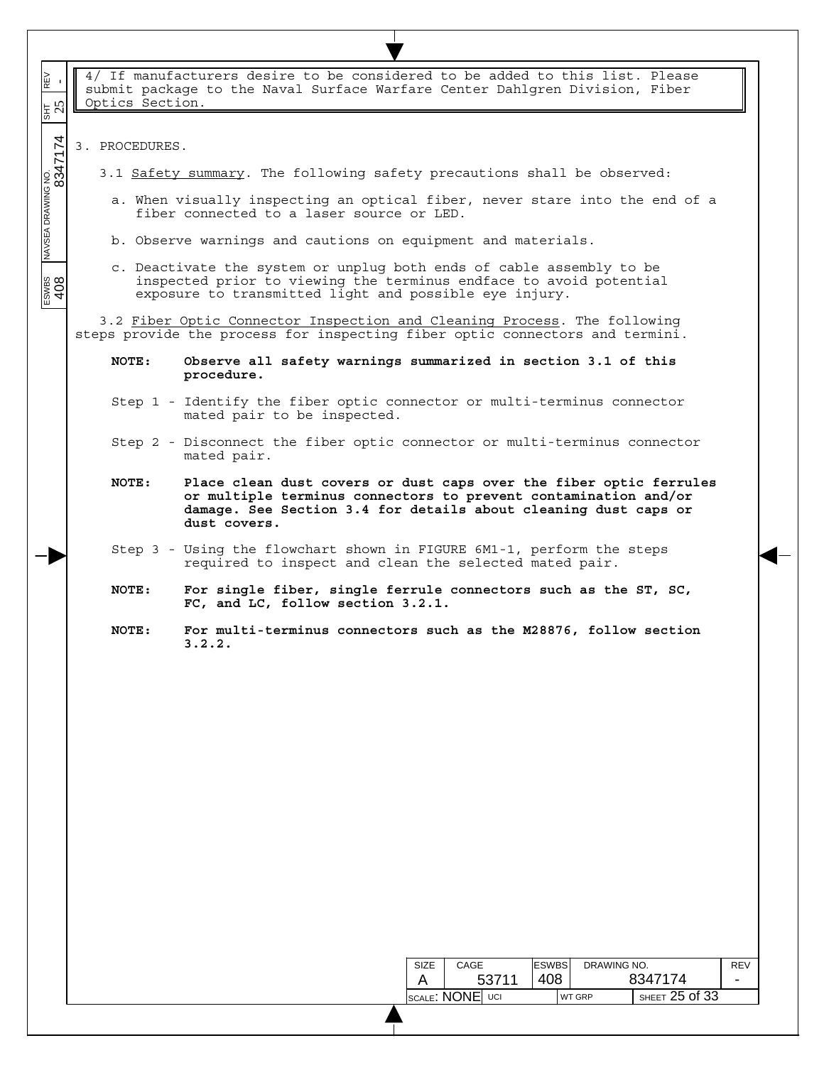| REV<br>-<br>$\frac{1}{35}$    | Optics Section. | 4/ If manufacturers desire to be considered to be added to this list. Please<br>submit package to the Naval Surface Warfare Center Dahlgren Division, Fiber                                                              |
|-------------------------------|-----------------|--------------------------------------------------------------------------------------------------------------------------------------------------------------------------------------------------------------------------|
|                               | 3. PROCEDURES.  |                                                                                                                                                                                                                          |
|                               |                 | 3.1 Safety summary. The following safety precautions shall be observed:                                                                                                                                                  |
| NAVSEA DRAWING NO.<br>8347174 |                 | a. When visually inspecting an optical fiber, never stare into the end of a<br>fiber connected to a laser source or LED.                                                                                                 |
|                               |                 | b. Observe warnings and cautions on equipment and materials.                                                                                                                                                             |
| ESWES                         |                 | c. Deactivate the system or unplug both ends of cable assembly to be<br>inspected prior to viewing the terminus endface to avoid potential<br>exposure to transmitted light and possible eye injury.                     |
|                               |                 | 3.2 Fiber Optic Connector Inspection and Cleaning Process. The following<br>steps provide the process for inspecting fiber optic connectors and termini.                                                                 |
|                               | NOTE:           | Observe all safety warnings summarized in section 3.1 of this<br>procedure.                                                                                                                                              |
|                               |                 | Step 1 - Identify the fiber optic connector or multi-terminus connector<br>mated pair to be inspected.                                                                                                                   |
|                               |                 | Step 2 - Disconnect the fiber optic connector or multi-terminus connector<br>mated pair.                                                                                                                                 |
|                               | NOTE:           | Place clean dust covers or dust caps over the fiber optic ferrules<br>or multiple terminus connectors to prevent contamination and/or<br>damage. See Section 3.4 for details about cleaning dust caps or<br>dust covers. |
|                               |                 | Step 3 - Using the flowchart shown in FIGURE 6M1-1, perform the steps<br>required to inspect and clean the selected mated pair.                                                                                          |
|                               | NOTE:           | For single fiber, single ferrule connectors such as the ST, SC,<br>FC, and LC, follow section 3.2.1.                                                                                                                     |
|                               | NOTE:           | For multi-terminus connectors such as the M28876, follow section<br>3.2.2.                                                                                                                                               |
|                               |                 |                                                                                                                                                                                                                          |
|                               |                 |                                                                                                                                                                                                                          |
|                               |                 |                                                                                                                                                                                                                          |
|                               |                 |                                                                                                                                                                                                                          |
|                               |                 |                                                                                                                                                                                                                          |
|                               |                 |                                                                                                                                                                                                                          |
|                               |                 |                                                                                                                                                                                                                          |
|                               |                 |                                                                                                                                                                                                                          |
|                               |                 |                                                                                                                                                                                                                          |
|                               |                 | <b>ESWBS</b><br>DRAWING NO.<br>CAGE<br><b>REV</b><br>SIZE                                                                                                                                                                |
|                               |                 | 8347174<br>408<br>53711<br>A<br>SHEET 25 of 33<br><b>SCALE: NONE UCI</b><br><b>WT GRP</b>                                                                                                                                |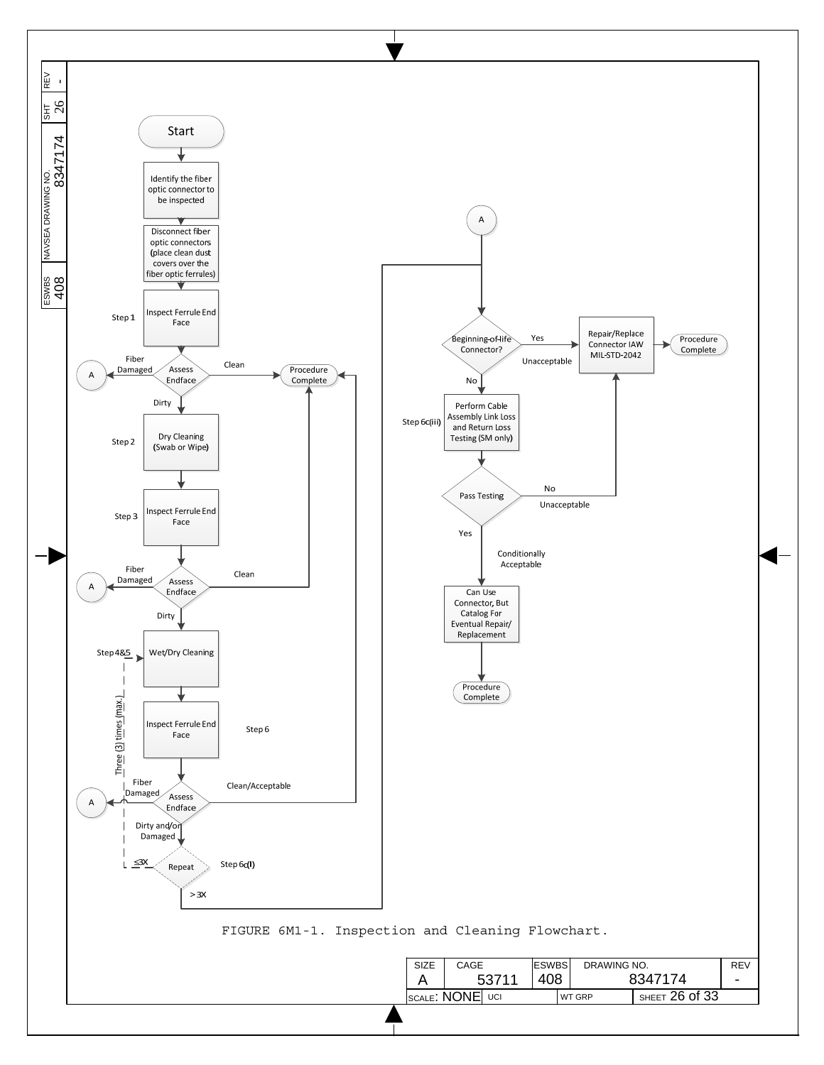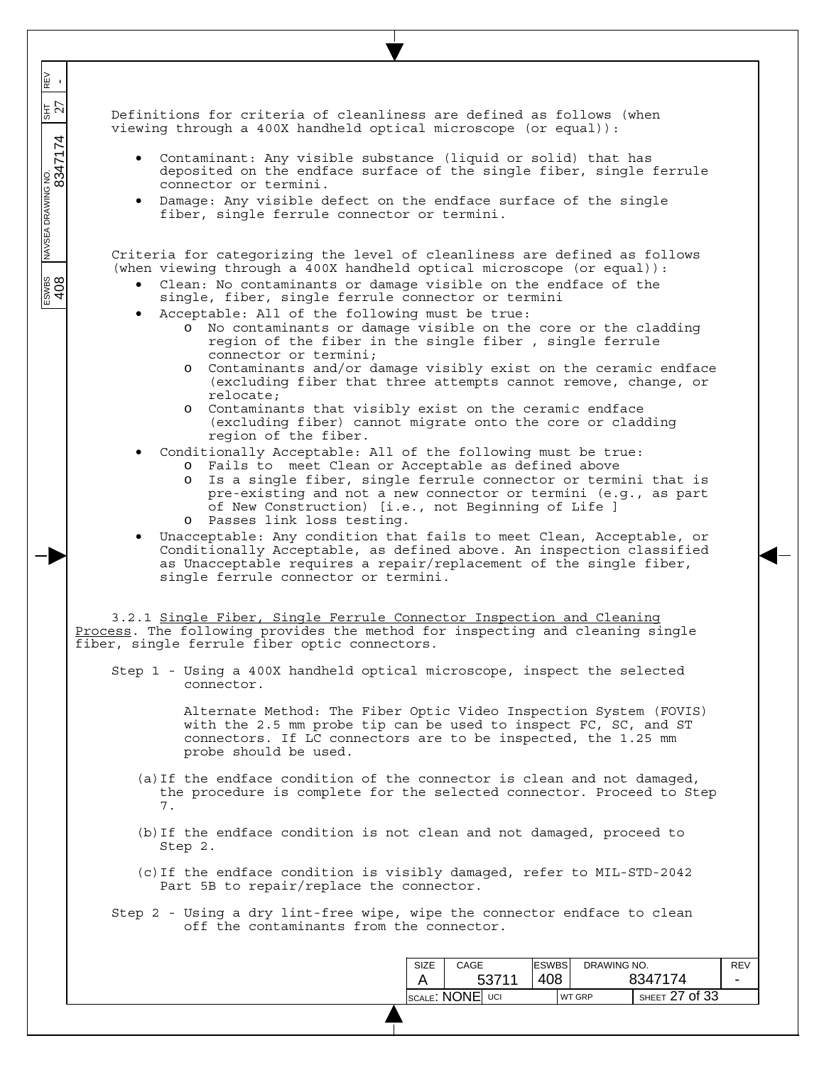Definitions for criteria of cleanliness are defined as follows (when viewing through a 400X handheld optical microscope (or equal)):

- Contaminant: Any visible substance (liquid or solid) that has deposited on the endface surface of the single fiber, single ferrule connector or termini.
- Damage: Any visible defect on the endface surface of the single fiber, single ferrule connector or termini.

Criteria for categorizing the level of cleanliness are defined as follows (when viewing through a  $400X$  handheld optical microscope (or equal)):

- Clean: No contaminants or damage visible on the endface of the single, fiber, single ferrule connector or termini
- Acceptable: All of the following must be true:

 $\overline{\phantom{a}}$ REV<br>- $\overline{\phantom{a}}$ 

 $\overline{\phantom{a}}$  $\overline{\phantom{a}}$   $357$ 

 $\overline{\phantom{a}}$ 

 $\frac{1}{\sqrt{2}}$   $\frac{1}{\sqrt{2}}$   $\frac{1}{\sqrt{2}}$   $\frac{1}{\sqrt{2}}$   $\frac{1}{\sqrt{2}}$   $\frac{1}{\sqrt{2}}$   $\frac{1}{\sqrt{2}}$   $\frac{1}{\sqrt{2}}$   $\frac{1}{\sqrt{2}}$   $\frac{1}{\sqrt{2}}$   $\frac{1}{\sqrt{2}}$   $\frac{1}{\sqrt{2}}$   $\frac{1}{\sqrt{2}}$   $\frac{1}{\sqrt{2}}$   $\frac{1}{\sqrt{2}}$   $\frac{1}{\sqrt{2}}$   $\frac{1}{\sqrt{2}}$ 

 $\frac{200}{408}$ 

- o No contaminants or damage visible on the core or the cladding region of the fiber in the single fiber , single ferrule connector or termini;
- o Contaminants and/or damage visibly exist on the ceramic endface (excluding fiber that three attempts cannot remove, change, or relocate;
- o Contaminants that visibly exist on the ceramic endface (excluding fiber) cannot migrate onto the core or cladding region of the fiber.
- Conditionally Acceptable: All of the following must be true:
	- o Fails to meet Clean or Acceptable as defined above
	- o Is a single fiber, single ferrule connector or termini that is pre-existing and not a new connector or termini (e.g., as part of New Construction) [i.e., not Beginning of Life ] o Passes link loss testing.
- Unacceptable: Any condition that fails to meet Clean, Acceptable, or Conditionally Acceptable, as defined above. An inspection classified as Unacceptable requires a repair/replacement of the single fiber, single ferrule connector or termini.

3.2.1 Single Fiber, Single Ferrule Connector Inspection and Cleaning Process. The following provides the method for inspecting and cleaning single fiber, single ferrule fiber optic connectors.

Step 1 - Using a 400X handheld optical microscope, inspect the selected connector.

> Alternate Method: The Fiber Optic Video Inspection System (FOVIS) with the 2.5 mm probe tip can be used to inspect FC, SC, and ST connectors. If LC connectors are to be inspected, the 1.25 mm probe should be used.

- (a)If the endface condition of the connector is clean and not damaged, the procedure is complete for the selected connector. Proceed to Step 7.
- (b)If the endface condition is not clean and not damaged, proceed to Step 2.
- (c)If the endface condition is visibly damaged, refer to MIL-STD-2042 Part 5B to repair/replace the connector.
- Step 2 Using a dry lint-free wipe, wipe the connector endface to clean off the contaminants from the connector.

| <b>SIZE</b> | CAGE            |  | <b>ESWBS</b> |               | DRAWING NO.        |  |
|-------------|-----------------|--|--------------|---------------|--------------------|--|
|             | 53711           |  | 408          |               | 8347174            |  |
|             | SCALE: NONE UCI |  |              | <b>WT GRP</b> | SHEET $27$ of $33$ |  |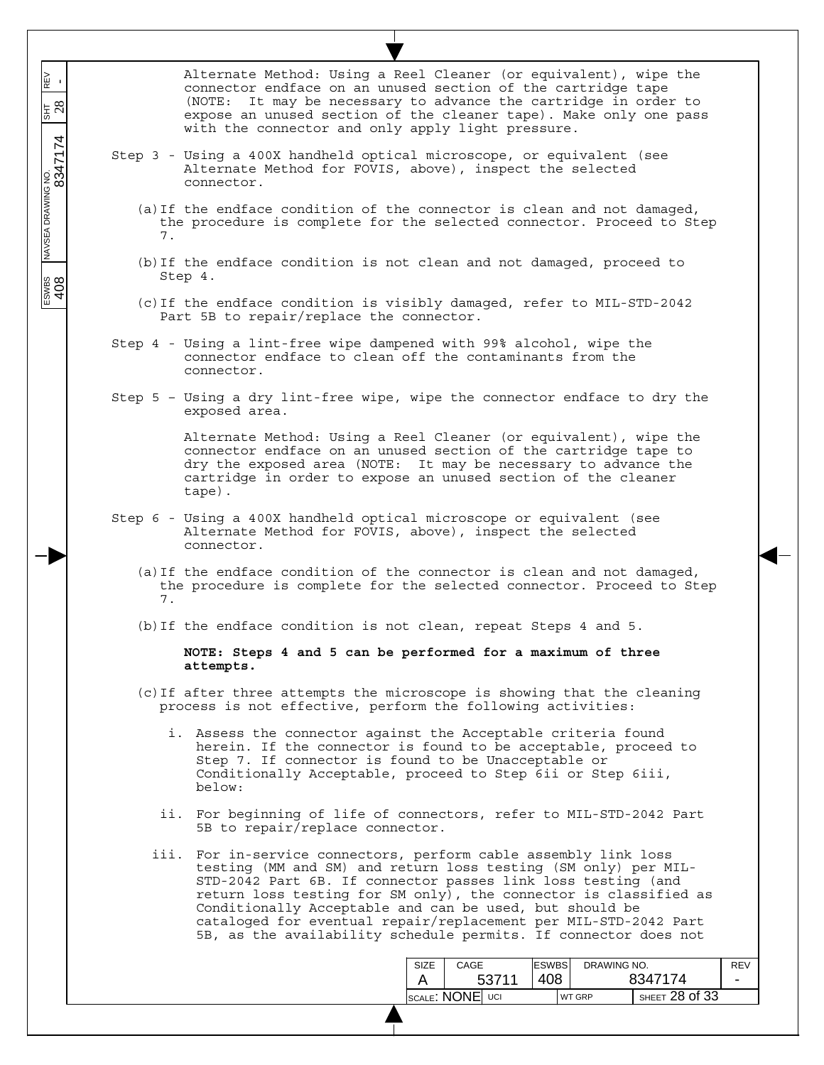| REV<br>-<br>$\frac{1}{35}$ 28<br>NAVSEA DRAWING NO.<br> <br> | Alternate Method: Using a Reel Cleaner (or equivalent), wipe the<br>connector endface on an unused section of the cartridge tape<br>(NOTE: It may be necessary to advance the cartridge in order to<br>expose an unused section of the cleaner tape). Make only one pass                                                                                                                                                                                                |
|--------------------------------------------------------------|-------------------------------------------------------------------------------------------------------------------------------------------------------------------------------------------------------------------------------------------------------------------------------------------------------------------------------------------------------------------------------------------------------------------------------------------------------------------------|
|                                                              | with the connector and only apply light pressure.                                                                                                                                                                                                                                                                                                                                                                                                                       |
|                                                              | Step 3 - Using a 400X handheld optical microscope, or equivalent (see<br>Alternate Method for FOVIS, above), inspect the selected<br>connector.                                                                                                                                                                                                                                                                                                                         |
|                                                              | (a) If the endface condition of the connector is clean and not damaged,<br>the procedure is complete for the selected connector. Proceed to Step<br>7.                                                                                                                                                                                                                                                                                                                  |
|                                                              | (b) If the endface condition is not clean and not damaged, proceed to<br>Step 4.                                                                                                                                                                                                                                                                                                                                                                                        |
|                                                              | (c) If the endface condition is visibly damaged, refer to MIL-STD-2042<br>Part 5B to repair/replace the connector.                                                                                                                                                                                                                                                                                                                                                      |
|                                                              | Step 4 - Using a lint-free wipe dampened with 99% alcohol, wipe the<br>connector endface to clean off the contaminants from the<br>connector.                                                                                                                                                                                                                                                                                                                           |
|                                                              | Step 5 - Using a dry lint-free wipe, wipe the connector endface to dry the<br>exposed area.                                                                                                                                                                                                                                                                                                                                                                             |
|                                                              | Alternate Method: Using a Reel Cleaner (or equivalent), wipe the<br>connector endface on an unused section of the cartridge tape to<br>dry the exposed area (NOTE: It may be necessary to advance the<br>cartridge in order to expose an unused section of the cleaner<br>tape).                                                                                                                                                                                        |
|                                                              | Step 6 - Using a 400X handheld optical microscope or equivalent (see<br>Alternate Method for FOVIS, above), inspect the selected<br>connector.                                                                                                                                                                                                                                                                                                                          |
|                                                              | (a) If the endface condition of the connector is clean and not damaged,<br>the procedure is complete for the selected connector. Proceed to Step<br>7.                                                                                                                                                                                                                                                                                                                  |
|                                                              | (b) If the endface condition is not clean, repeat Steps 4 and 5.                                                                                                                                                                                                                                                                                                                                                                                                        |
|                                                              | NOTE: Steps 4 and 5 can be performed for a maximum of three<br>attempts.                                                                                                                                                                                                                                                                                                                                                                                                |
|                                                              | (c) If after three attempts the microscope is showing that the cleaning<br>process is not effective, perform the following activities:                                                                                                                                                                                                                                                                                                                                  |
|                                                              | i. Assess the connector against the Acceptable criteria found<br>herein. If the connector is found to be acceptable, proceed to<br>Step 7. If connector is found to be Unacceptable or<br>Conditionally Acceptable, proceed to Step 6ii or Step 6iii,<br>below:                                                                                                                                                                                                         |
|                                                              | ii. For beginning of life of connectors, refer to MIL-STD-2042 Part<br>5B to repair/replace connector.                                                                                                                                                                                                                                                                                                                                                                  |
|                                                              | iii. For in-service connectors, perform cable assembly link loss<br>testing (MM and SM) and return loss testing (SM only) per MIL-<br>STD-2042 Part 6B. If connector passes link loss testing (and<br>return loss testing for SM only), the connector is classified as<br>Conditionally Acceptable and can be used, but should be<br>cataloged for eventual repair/replacement per MIL-STD-2042 Part<br>5B, as the availability schedule permits. If connector does not |
|                                                              | <b>ESWBS</b><br>DRAWING NO.<br>CAGE<br><b>REV</b><br>SIZE                                                                                                                                                                                                                                                                                                                                                                                                               |
|                                                              | 408<br>8347174<br>53711<br>A<br>$\overline{\phantom{0}}$                                                                                                                                                                                                                                                                                                                                                                                                                |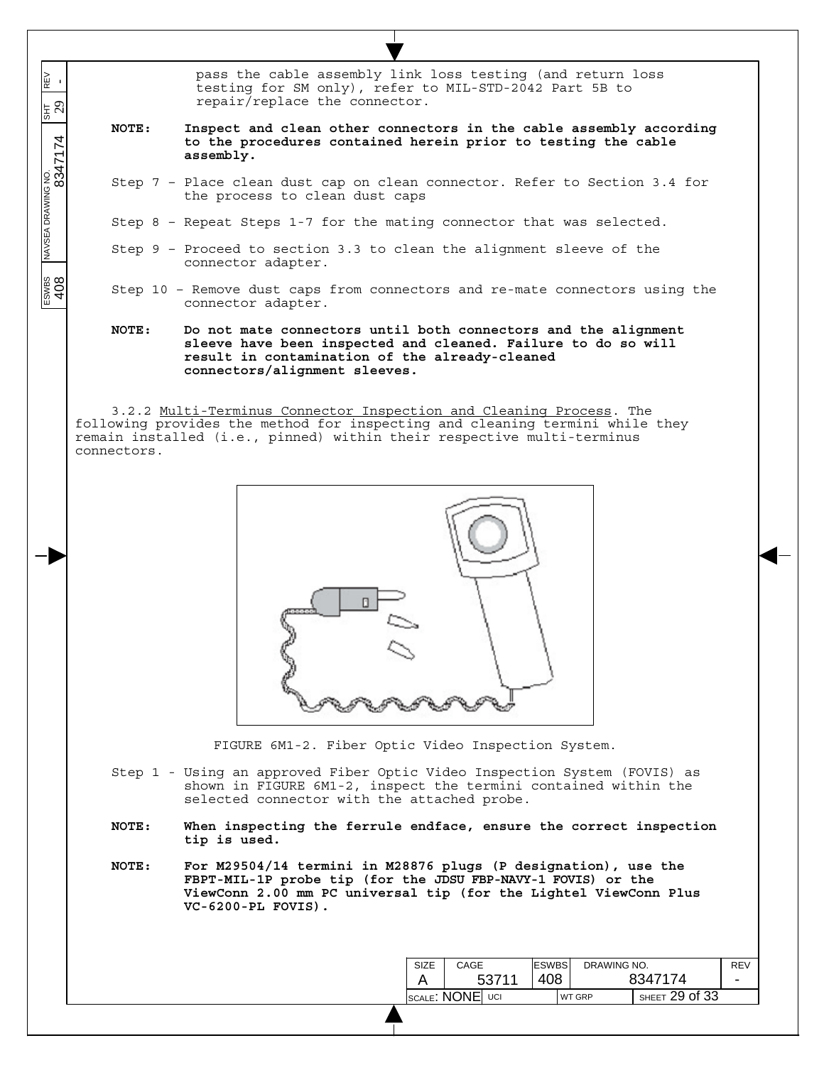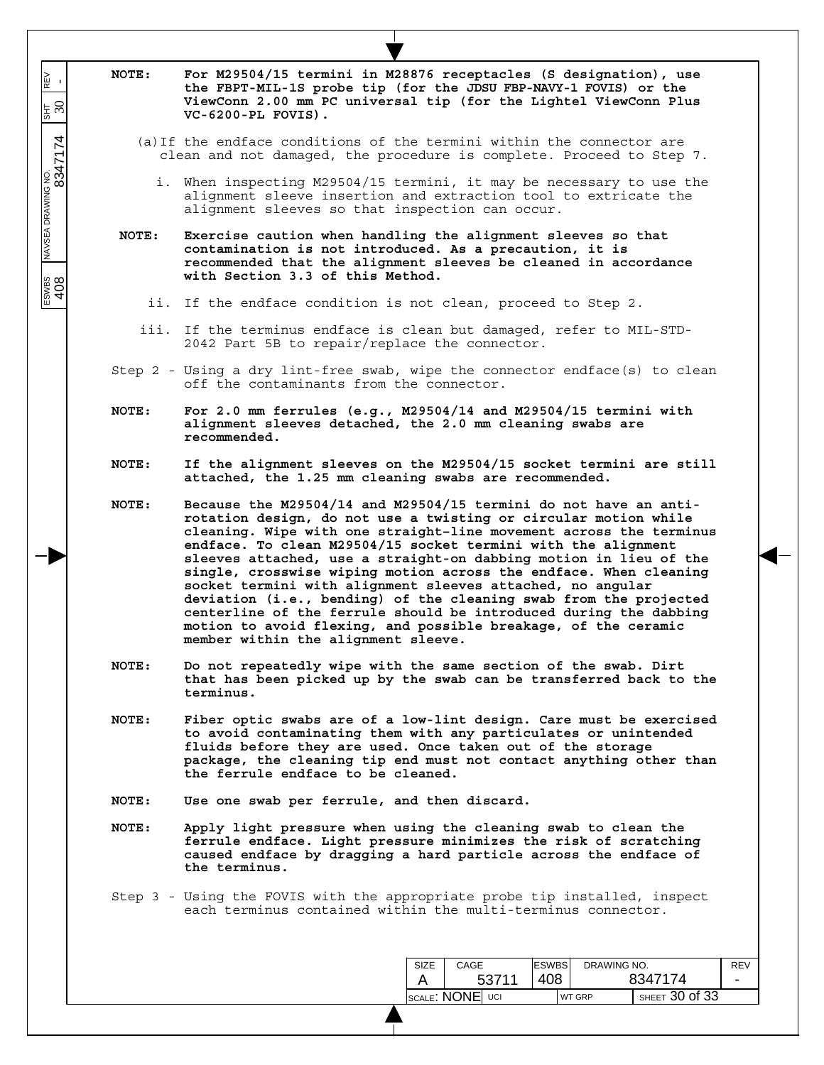| <b>NOTE:</b> | For M29504/15 termini in M28876 receptacles (S designation), use<br>the FBPT-MIL-1S probe tip (for the JDSU FBP-NAVY-1 FOVIS) or the<br>ViewConn 2.00 mm PC universal tip (for the Lightel ViewConn Plus<br>$VC-6200-PL$ FOVIS).                                                                                                                                                                                                                                                                                                                                                                                                                                                                                                      |
|--------------|---------------------------------------------------------------------------------------------------------------------------------------------------------------------------------------------------------------------------------------------------------------------------------------------------------------------------------------------------------------------------------------------------------------------------------------------------------------------------------------------------------------------------------------------------------------------------------------------------------------------------------------------------------------------------------------------------------------------------------------|
|              | (a) If the endface conditions of the termini within the connector are<br>clean and not damaged, the procedure is complete. Proceed to Step 7.                                                                                                                                                                                                                                                                                                                                                                                                                                                                                                                                                                                         |
|              | i. When inspecting M29504/15 termini, it may be necessary to use the<br>alignment sleeve insertion and extraction tool to extricate the<br>alignment sleeves so that inspection can occur.                                                                                                                                                                                                                                                                                                                                                                                                                                                                                                                                            |
| NOTE:        | Exercise caution when handling the alignment sleeves so that<br>contamination is not introduced. As a precaution, it is<br>recommended that the alignment sleeves be cleaned in accordance<br>with Section 3.3 of this Method.                                                                                                                                                                                                                                                                                                                                                                                                                                                                                                        |
|              | ii. If the endface condition is not clean, proceed to Step 2.                                                                                                                                                                                                                                                                                                                                                                                                                                                                                                                                                                                                                                                                         |
|              | iii. If the terminus endface is clean but damaged, refer to MIL-STD-<br>2042 Part 5B to repair/replace the connector.                                                                                                                                                                                                                                                                                                                                                                                                                                                                                                                                                                                                                 |
|              | Step 2 - Using a dry lint-free swab, wipe the connector endface(s) to clean<br>off the contaminants from the connector.                                                                                                                                                                                                                                                                                                                                                                                                                                                                                                                                                                                                               |
| NOTE:        | For 2.0 mm ferrules (e.g., $M29504/14$ and $M29504/15$ termini with<br>alignment sleeves detached, the 2.0 mm cleaning swabs are<br>recommended.                                                                                                                                                                                                                                                                                                                                                                                                                                                                                                                                                                                      |
| NOTE:        | If the alignment sleeves on the M29504/15 socket termini are still<br>attached, the 1.25 mm cleaning swabs are recommended.                                                                                                                                                                                                                                                                                                                                                                                                                                                                                                                                                                                                           |
| NOTE:        | Because the M29504/14 and M29504/15 termini do not have an anti-<br>rotation design, do not use a twisting or circular motion while<br>cleaning. Wipe with one straight-line movement across the terminus<br>endface. To clean M29504/15 socket termini with the alignment<br>sleeves attached, use a straight-on dabbing motion in lieu of the<br>single, crosswise wiping motion across the endface. When cleaning<br>socket termini with alignment sleeves attached, no angular<br>deviation (i.e., bending) of the cleaning swab from the projected<br>centerline of the ferrule should be introduced during the dabbing<br>motion to avoid flexing, and possible breakage, of the ceramic<br>member within the alignment sleeve. |
| NOTE:        | Do not repeatedly wipe with the same section of the swab. Dirt<br>that has been picked up by the swab can be transferred back to the<br>terminus.                                                                                                                                                                                                                                                                                                                                                                                                                                                                                                                                                                                     |
| NOTE:        | Fiber optic swabs are of a low-lint design. Care must be exercised<br>to avoid contaminating them with any particulates or unintended<br>fluids before they are used. Once taken out of the storage<br>package, the cleaning tip end must not contact anything other than<br>the ferrule endface to be cleaned.                                                                                                                                                                                                                                                                                                                                                                                                                       |
| NOTE:        | Use one swab per ferrule, and then discard.                                                                                                                                                                                                                                                                                                                                                                                                                                                                                                                                                                                                                                                                                           |
| NOTE:        | Apply light pressure when using the cleaning swab to clean the<br>ferrule endface. Light pressure minimizes the risk of scratching<br>caused endface by dragging a hard particle across the endface of<br>the terminus.                                                                                                                                                                                                                                                                                                                                                                                                                                                                                                               |
|              | Step 3 - Using the FOVIS with the appropriate probe tip installed, inspect<br>each terminus contained within the multi-terminus connector.                                                                                                                                                                                                                                                                                                                                                                                                                                                                                                                                                                                            |
|              | <b>ESWBS</b><br>DRAWING NO.<br><b>SIZE</b><br>CAGE                                                                                                                                                                                                                                                                                                                                                                                                                                                                                                                                                                                                                                                                                    |
|              | 408<br>8347174<br>53711<br>A                                                                                                                                                                                                                                                                                                                                                                                                                                                                                                                                                                                                                                                                                                          |

 $\overline{\phantom{a}}$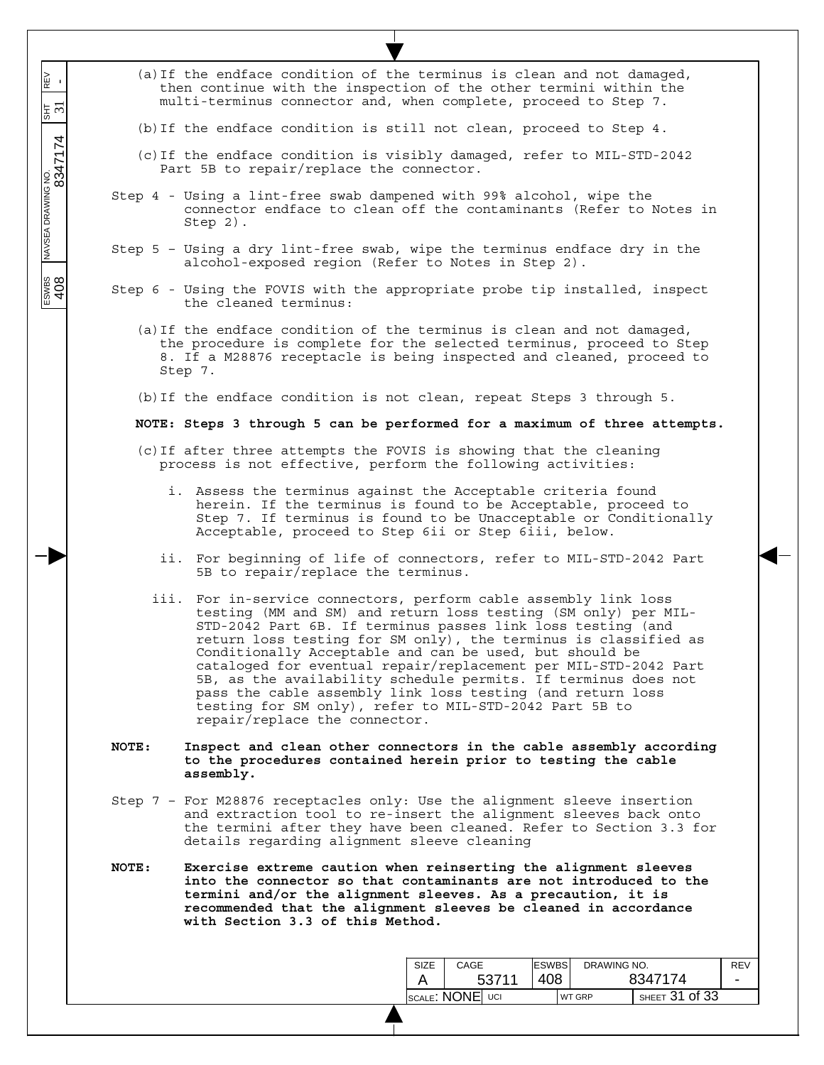|       | (a) If the endface condition of the terminus is clean and not damaged,<br>then continue with the inspection of the other termini within the<br>multi-terminus connector and, when complete, proceed to Step 7.                                                                                                                                                                                                                                                                                                                                                                                                                |
|-------|-------------------------------------------------------------------------------------------------------------------------------------------------------------------------------------------------------------------------------------------------------------------------------------------------------------------------------------------------------------------------------------------------------------------------------------------------------------------------------------------------------------------------------------------------------------------------------------------------------------------------------|
|       | (b) If the endface condition is still not clean, proceed to Step $4$ .                                                                                                                                                                                                                                                                                                                                                                                                                                                                                                                                                        |
|       | (c) If the endface condition is visibly damaged, refer to MIL-STD-2042<br>Part 5B to repair/replace the connector.                                                                                                                                                                                                                                                                                                                                                                                                                                                                                                            |
|       | Step 4 - Using a lint-free swab dampened with 99% alcohol, wipe the<br>connector endface to clean off the contaminants (Refer to Notes in<br>$Step 2$ .                                                                                                                                                                                                                                                                                                                                                                                                                                                                       |
|       | Step 5 - Using a dry lint-free swab, wipe the terminus endface dry in the<br>alcohol-exposed region (Refer to Notes in Step 2).                                                                                                                                                                                                                                                                                                                                                                                                                                                                                               |
|       | Step 6 - Using the FOVIS with the appropriate probe tip installed, inspect<br>the cleaned terminus:                                                                                                                                                                                                                                                                                                                                                                                                                                                                                                                           |
|       | (a) If the endface condition of the terminus is clean and not damaged,<br>the procedure is complete for the selected terminus, proceed to Step<br>8. If a M28876 receptacle is being inspected and cleaned, proceed to<br>Step 7.                                                                                                                                                                                                                                                                                                                                                                                             |
|       | (b) If the endface condition is not clean, repeat Steps 3 through 5.                                                                                                                                                                                                                                                                                                                                                                                                                                                                                                                                                          |
|       | NOTE: Steps 3 through 5 can be performed for a maximum of three attempts.                                                                                                                                                                                                                                                                                                                                                                                                                                                                                                                                                     |
|       | (c) If after three attempts the FOVIS is showing that the cleaning<br>process is not effective, perform the following activities:                                                                                                                                                                                                                                                                                                                                                                                                                                                                                             |
|       | i. Assess the terminus against the Acceptable criteria found<br>herein. If the terminus is found to be Acceptable, proceed to<br>Step 7. If terminus is found to be Unacceptable or Conditionally<br>Acceptable, proceed to Step 6ii or Step 6iii, below.                                                                                                                                                                                                                                                                                                                                                                     |
|       | ii. For beginning of life of connectors, refer to MIL-STD-2042 Part<br>5B to repair/replace the terminus.                                                                                                                                                                                                                                                                                                                                                                                                                                                                                                                     |
|       | iii. For in-service connectors, perform cable assembly link loss<br>testing (MM and SM) and return loss testing (SM only) per MIL-<br>STD-2042 Part 6B. If terminus passes link loss testing (and<br>return loss testing for SM only), the terminus is classified as<br>Conditionally Acceptable and can be used, but should be<br>cataloged for eventual repair/replacement per MIL-STD-2042 Part<br>5B, as the availability schedule permits. If terminus does not<br>pass the cable assembly link loss testing (and return loss<br>testing for SM only), refer to MIL-STD-2042 Part 5B to<br>repair/replace the connector. |
| NOTE: | Inspect and clean other connectors in the cable assembly according<br>to the procedures contained herein prior to testing the cable<br>assembly.                                                                                                                                                                                                                                                                                                                                                                                                                                                                              |
|       | Step 7 - For M28876 receptacles only: Use the alignment sleeve insertion<br>and extraction tool to re-insert the alignment sleeves back onto                                                                                                                                                                                                                                                                                                                                                                                                                                                                                  |
|       | the termini after they have been cleaned. Refer to Section 3.3 for<br>details regarding alignment sleeve cleaning                                                                                                                                                                                                                                                                                                                                                                                                                                                                                                             |
| NOTE: | Exercise extreme caution when reinserting the alignment sleeves<br>into the connector so that contaminants are not introduced to the<br>termini and/or the alignment sleeves. As a precaution, it is<br>recommended that the alignment sleeves be cleaned in accordance<br>with Section 3.3 of this Method.                                                                                                                                                                                                                                                                                                                   |
|       | <b>ESWBS</b><br>DRAWING NO.<br>CAGE<br>SIZE<br>REV<br>408<br>8347174<br>53711<br>A                                                                                                                                                                                                                                                                                                                                                                                                                                                                                                                                            |

Т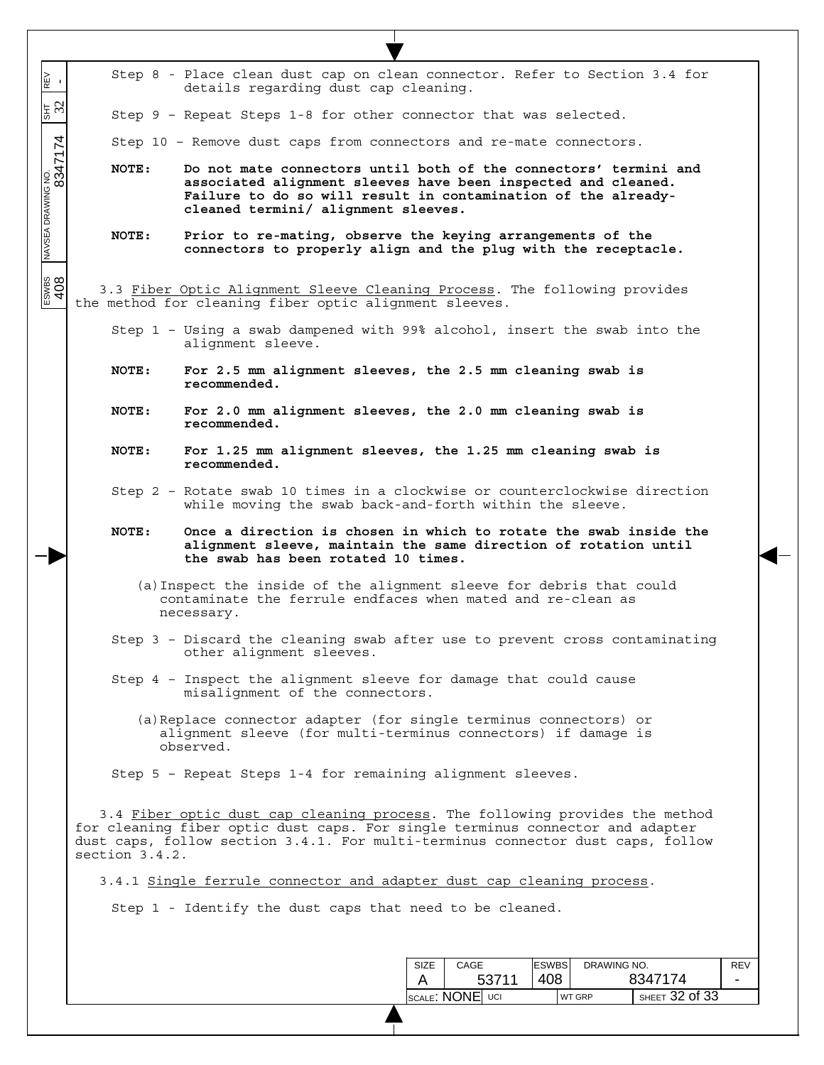| N≣<br>⊮                                                                                                                                                                                                         |                                                                                                                                                                                                                                                                    | Step 8 - Place clean dust cap on clean connector. Refer to Section 3.4 for<br>details regarding dust cap cleaning.                                                                                                                        |  |     |  |  |  |  |  |
|-----------------------------------------------------------------------------------------------------------------------------------------------------------------------------------------------------------------|--------------------------------------------------------------------------------------------------------------------------------------------------------------------------------------------------------------------------------------------------------------------|-------------------------------------------------------------------------------------------------------------------------------------------------------------------------------------------------------------------------------------------|--|-----|--|--|--|--|--|
| $\frac{1}{3}$                                                                                                                                                                                                   |                                                                                                                                                                                                                                                                    | Step 9 - Repeat Steps 1-8 for other connector that was selected.                                                                                                                                                                          |  |     |  |  |  |  |  |
|                                                                                                                                                                                                                 |                                                                                                                                                                                                                                                                    | Step 10 - Remove dust caps from connectors and re-mate connectors.                                                                                                                                                                        |  |     |  |  |  |  |  |
| 8347174                                                                                                                                                                                                         | NOTE:                                                                                                                                                                                                                                                              | Do not mate connectors until both of the connectors' termini and<br>associated alignment sleeves have been inspected and cleaned.<br>Failure to do so will result in contamination of the already-<br>cleaned termini/ alignment sleeves. |  |     |  |  |  |  |  |
|                                                                                                                                                                                                                 | NOTE:                                                                                                                                                                                                                                                              | Prior to re-mating, observe the keying arrangements of the<br>connectors to properly align and the plug with the receptacle.                                                                                                              |  |     |  |  |  |  |  |
| $\frac{408}{408}$                                                                                                                                                                                               |                                                                                                                                                                                                                                                                    | 3.3 Fiber Optic Alignment Sleeve Cleaning Process. The following provides<br>the method for cleaning fiber optic alignment sleeves.                                                                                                       |  |     |  |  |  |  |  |
|                                                                                                                                                                                                                 |                                                                                                                                                                                                                                                                    | Step 1 - Using a swab dampened with 99% alcohol, insert the swab into the<br>alignment sleeve.                                                                                                                                            |  |     |  |  |  |  |  |
|                                                                                                                                                                                                                 | NOTE:                                                                                                                                                                                                                                                              | For 2.5 mm alignment sleeves, the 2.5 mm cleaning swab is<br>recommended.                                                                                                                                                                 |  |     |  |  |  |  |  |
|                                                                                                                                                                                                                 | <b>NOTE:</b>                                                                                                                                                                                                                                                       | For 2.0 mm alignment sleeves, the 2.0 mm cleaning swab is<br>recommended.                                                                                                                                                                 |  |     |  |  |  |  |  |
|                                                                                                                                                                                                                 | NOTE:                                                                                                                                                                                                                                                              | For 1.25 mm alignment sleeves, the 1.25 mm cleaning swab is<br>recommended.                                                                                                                                                               |  |     |  |  |  |  |  |
|                                                                                                                                                                                                                 |                                                                                                                                                                                                                                                                    | Step 2 - Rotate swab 10 times in a clockwise or counterclockwise direction<br>while moving the swab back-and-forth within the sleeve.                                                                                                     |  |     |  |  |  |  |  |
| Once a direction is chosen in which to rotate the swab inside the<br>NOTE:<br>alignment sleeve, maintain the same direction of rotation until<br>the swab has been rotated 10 times.                            |                                                                                                                                                                                                                                                                    |                                                                                                                                                                                                                                           |  |     |  |  |  |  |  |
|                                                                                                                                                                                                                 | (a) Inspect the inside of the alignment sleeve for debris that could<br>contaminate the ferrule endfaces when mated and re-clean as<br>necessary.                                                                                                                  |                                                                                                                                                                                                                                           |  |     |  |  |  |  |  |
| Step 3 - Discard the cleaning swab after use to prevent cross contaminating<br>other alignment sleeves.<br>Step 4 - Inspect the alignment sleeve for damage that could cause<br>misalignment of the connectors. |                                                                                                                                                                                                                                                                    |                                                                                                                                                                                                                                           |  |     |  |  |  |  |  |
|                                                                                                                                                                                                                 |                                                                                                                                                                                                                                                                    |                                                                                                                                                                                                                                           |  |     |  |  |  |  |  |
|                                                                                                                                                                                                                 |                                                                                                                                                                                                                                                                    | Step 5 - Repeat Steps 1-4 for remaining alignment sleeves.                                                                                                                                                                                |  |     |  |  |  |  |  |
|                                                                                                                                                                                                                 | 3.4 Fiber optic dust cap cleaning process. The following provides the method<br>for cleaning fiber optic dust caps. For single terminus connector and adapter<br>dust caps, follow section 3.4.1. For multi-terminus connector dust caps, follow<br>section 3.4.2. |                                                                                                                                                                                                                                           |  |     |  |  |  |  |  |
|                                                                                                                                                                                                                 |                                                                                                                                                                                                                                                                    | 3.4.1 Single ferrule connector and adapter dust cap cleaning process.                                                                                                                                                                     |  |     |  |  |  |  |  |
|                                                                                                                                                                                                                 |                                                                                                                                                                                                                                                                    | Step 1 - Identify the dust caps that need to be cleaned.                                                                                                                                                                                  |  |     |  |  |  |  |  |
|                                                                                                                                                                                                                 |                                                                                                                                                                                                                                                                    |                                                                                                                                                                                                                                           |  |     |  |  |  |  |  |
|                                                                                                                                                                                                                 |                                                                                                                                                                                                                                                                    |                                                                                                                                                                                                                                           |  |     |  |  |  |  |  |
|                                                                                                                                                                                                                 |                                                                                                                                                                                                                                                                    | <b>ESWBS</b><br>CAGE<br>DRAWING NO.<br><b>SIZE</b><br>408<br>8347174<br>53711<br>A                                                                                                                                                        |  | REV |  |  |  |  |  |